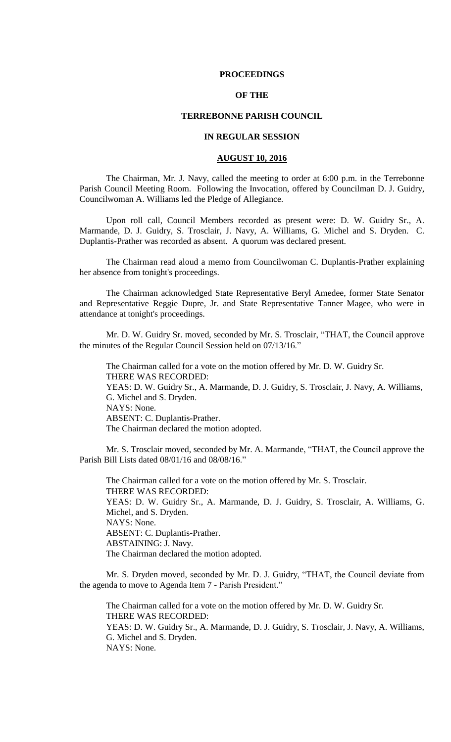### **PROCEEDINGS**

## **OF THE**

### **TERREBONNE PARISH COUNCIL**

## **IN REGULAR SESSION**

### **AUGUST 10, 2016**

The Chairman, Mr. J. Navy, called the meeting to order at 6:00 p.m. in the Terrebonne Parish Council Meeting Room. Following the Invocation, offered by Councilman D. J. Guidry, Councilwoman A. Williams led the Pledge of Allegiance.

Upon roll call, Council Members recorded as present were: D. W. Guidry Sr., A. Marmande, D. J. Guidry, S. Trosclair, J. Navy, A. Williams, G. Michel and S. Dryden. C. Duplantis-Prather was recorded as absent. A quorum was declared present.

The Chairman read aloud a memo from Councilwoman C. Duplantis-Prather explaining her absence from tonight's proceedings.

The Chairman acknowledged State Representative Beryl Amedee, former State Senator and Representative Reggie Dupre, Jr. and State Representative Tanner Magee, who were in attendance at tonight's proceedings.

Mr. D. W. Guidry Sr. moved, seconded by Mr. S. Trosclair, "THAT, the Council approve the minutes of the Regular Council Session held on 07/13/16."

The Chairman called for a vote on the motion offered by Mr. D. W. Guidry Sr. THERE WAS RECORDED: YEAS: D. W. Guidry Sr., A. Marmande, D. J. Guidry, S. Trosclair, J. Navy, A. Williams, G. Michel and S. Dryden. NAYS: None. ABSENT: C. Duplantis-Prather. The Chairman declared the motion adopted.

Mr. S. Trosclair moved, seconded by Mr. A. Marmande, "THAT, the Council approve the Parish Bill Lists dated 08/01/16 and 08/08/16."

The Chairman called for a vote on the motion offered by Mr. S. Trosclair. THERE WAS RECORDED: YEAS: D. W. Guidry Sr., A. Marmande, D. J. Guidry, S. Trosclair, A. Williams, G. Michel, and S. Dryden. NAYS: None. ABSENT: C. Duplantis-Prather. ABSTAINING: J. Navy. The Chairman declared the motion adopted.

Mr. S. Dryden moved, seconded by Mr. D. J. Guidry, "THAT, the Council deviate from the agenda to move to Agenda Item 7 - Parish President."

The Chairman called for a vote on the motion offered by Mr. D. W. Guidry Sr. THERE WAS RECORDED: YEAS: D. W. Guidry Sr., A. Marmande, D. J. Guidry, S. Trosclair, J. Navy, A. Williams, G. Michel and S. Dryden. NAYS: None.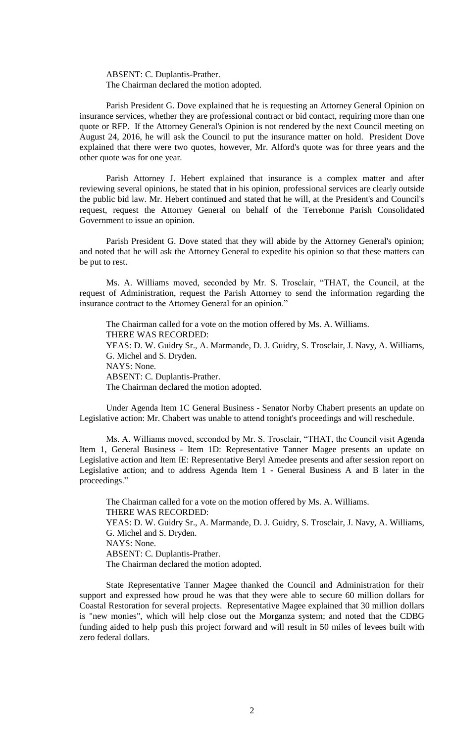ABSENT: C. Duplantis-Prather. The Chairman declared the motion adopted.

Parish President G. Dove explained that he is requesting an Attorney General Opinion on insurance services, whether they are professional contract or bid contact, requiring more than one quote or RFP. If the Attorney General's Opinion is not rendered by the next Council meeting on August 24, 2016, he will ask the Council to put the insurance matter on hold. President Dove explained that there were two quotes, however, Mr. Alford's quote was for three years and the other quote was for one year.

Parish Attorney J. Hebert explained that insurance is a complex matter and after reviewing several opinions, he stated that in his opinion, professional services are clearly outside the public bid law. Mr. Hebert continued and stated that he will, at the President's and Council's request, request the Attorney General on behalf of the Terrebonne Parish Consolidated Government to issue an opinion.

Parish President G. Dove stated that they will abide by the Attorney General's opinion; and noted that he will ask the Attorney General to expedite his opinion so that these matters can be put to rest.

Ms. A. Williams moved, seconded by Mr. S. Trosclair, "THAT, the Council, at the request of Administration, request the Parish Attorney to send the information regarding the insurance contract to the Attorney General for an opinion."

The Chairman called for a vote on the motion offered by Ms. A. Williams. THERE WAS RECORDED: YEAS: D. W. Guidry Sr., A. Marmande, D. J. Guidry, S. Trosclair, J. Navy, A. Williams, G. Michel and S. Dryden. NAYS: None. ABSENT: C. Duplantis-Prather. The Chairman declared the motion adopted.

Under Agenda Item 1C General Business - Senator Norby Chabert presents an update on Legislative action: Mr. Chabert was unable to attend tonight's proceedings and will reschedule.

Ms. A. Williams moved, seconded by Mr. S. Trosclair, "THAT, the Council visit Agenda Item 1, General Business - Item 1D: Representative Tanner Magee presents an update on Legislative action and Item IE: Representative Beryl Amedee presents and after session report on Legislative action; and to address Agenda Item 1 - General Business A and B later in the proceedings."

The Chairman called for a vote on the motion offered by Ms. A. Williams. THERE WAS RECORDED: YEAS: D. W. Guidry Sr., A. Marmande, D. J. Guidry, S. Trosclair, J. Navy, A. Williams, G. Michel and S. Dryden. NAYS: None. ABSENT: C. Duplantis-Prather. The Chairman declared the motion adopted.

State Representative Tanner Magee thanked the Council and Administration for their support and expressed how proud he was that they were able to secure 60 million dollars for Coastal Restoration for several projects. Representative Magee explained that 30 million dollars is "new monies", which will help close out the Morganza system; and noted that the CDBG funding aided to help push this project forward and will result in 50 miles of levees built with zero federal dollars.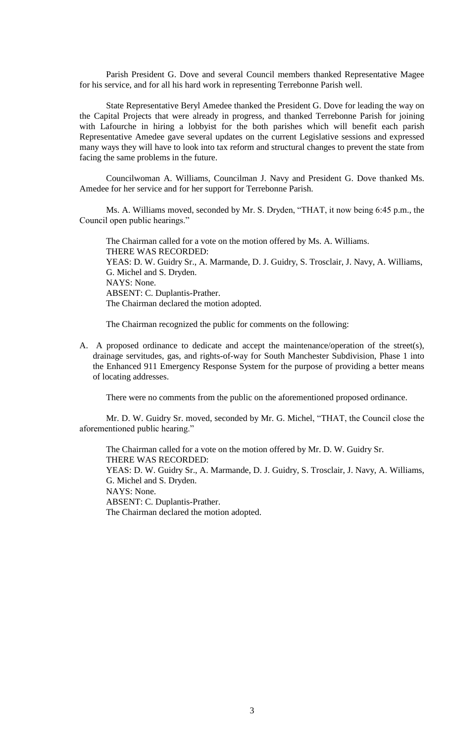Parish President G. Dove and several Council members thanked Representative Magee for his service, and for all his hard work in representing Terrebonne Parish well.

State Representative Beryl Amedee thanked the President G. Dove for leading the way on the Capital Projects that were already in progress, and thanked Terrebonne Parish for joining with Lafourche in hiring a lobbyist for the both parishes which will benefit each parish Representative Amedee gave several updates on the current Legislative sessions and expressed many ways they will have to look into tax reform and structural changes to prevent the state from facing the same problems in the future.

Councilwoman A. Williams, Councilman J. Navy and President G. Dove thanked Ms. Amedee for her service and for her support for Terrebonne Parish.

Ms. A. Williams moved, seconded by Mr. S. Dryden, "THAT, it now being 6:45 p.m., the Council open public hearings."

The Chairman called for a vote on the motion offered by Ms. A. Williams. THERE WAS RECORDED: YEAS: D. W. Guidry Sr., A. Marmande, D. J. Guidry, S. Trosclair, J. Navy, A. Williams, G. Michel and S. Dryden. NAYS: None. ABSENT: C. Duplantis-Prather. The Chairman declared the motion adopted.

The Chairman recognized the public for comments on the following:

A. A proposed ordinance to dedicate and accept the maintenance/operation of the street(s), drainage servitudes, gas, and rights-of-way for South Manchester Subdivision, Phase 1 into the Enhanced 911 Emergency Response System for the purpose of providing a better means of locating addresses.

There were no comments from the public on the aforementioned proposed ordinance.

Mr. D. W. Guidry Sr. moved, seconded by Mr. G. Michel, "THAT, the Council close the aforementioned public hearing."

The Chairman called for a vote on the motion offered by Mr. D. W. Guidry Sr. THERE WAS RECORDED: YEAS: D. W. Guidry Sr., A. Marmande, D. J. Guidry, S. Trosclair, J. Navy, A. Williams, G. Michel and S. Dryden. NAYS: None. ABSENT: C. Duplantis-Prather. The Chairman declared the motion adopted.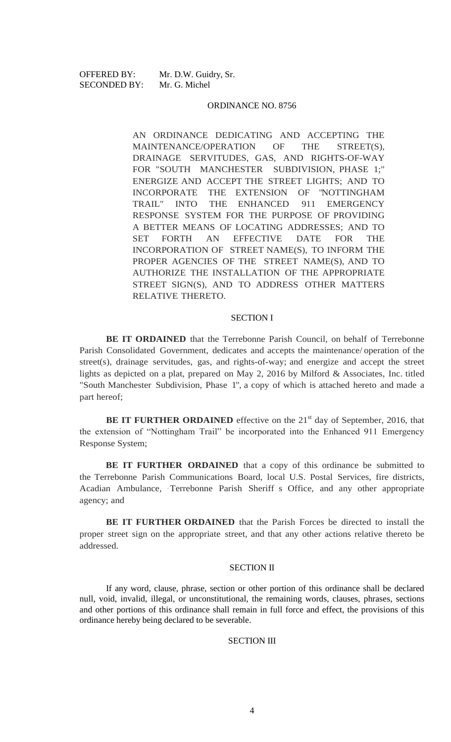OFFERED BY: Mr. D.W. Guidry, Sr. SECONDED BY: Mr. G. Michel

#### ORDINANCE NO. 8756

AN ORDINANCE DEDICATING AND ACCEPTING THE MAINTENANCE/OPERATION OF THE STREET(S), DRAINAGE SERVITUDES, GAS, AND RIGHTS-OF-WAY FOR "SOUTH MANCHESTER SUBDIVISION, PHASE 1;" ENERGIZE AND ACCEPT THE STREET LIGHTS; AND TO INCORPORATE THE EXTENSION OF "NOTTINGHAM TRAIL" INTO THE ENHANCED 911 EMERGENCY RESPONSE SYSTEM FOR THE PURPOSE OF PROVIDING A BETTER MEANS OF LOCATING ADDRESSES; AND TO SET FORTH AN EFFECTIVE DATE FOR THE INCORPORATION OF STREET NAME(S), TO INFORM THE PROPER AGENCIES OF THE STREET NAME(S), AND TO AUTHORIZE THE INSTALLATION OF THE APPROPRIATE STREET SIGN(S), AND TO ADDRESS OTHER MATTERS RELATIVE THERETO.

### SECTION I

**BE IT ORDAINED** that the Terrebonne Parish Council, on behalf of Terrebonne Parish Consolidated Government, dedicates and accepts the maintenance/ operation of the street(s), drainage servitudes, gas, and rights-of-way; and energize and accept the street lights as depicted on a plat, prepared on May 2, 2016 by Milford & Associates, Inc. titled "South Manchester Subdivision, Phase 1", a copy of which is attached hereto and made a part hereof;

**BE IT FURTHER ORDAINED** effective on the 21<sup>st</sup> day of September, 2016, that the extension of "Nottingham Trail" be incorporated into the Enhanced 911 Emergency Response System;

**BE IT FURTHER ORDAINED** that a copy of this ordinance be submitted to the Terrebonne Parish Communications Board, local U.S. Postal Services, fire districts, Acadian Ambulance, Terrebonne Parish Sheriff s Office, and any other appropriate agency; and

**BE IT FURTHER ORDAINED** that the Parish Forces be directed to install the proper street sign on the appropriate street, and that any other actions relative thereto be addressed.

### SECTION II

If any word, clause, phrase, section or other portion of this ordinance shall be declared null, void, invalid, illegal, or unconstitutional, the remaining words, clauses, phrases, sections and other portions of this ordinance shall remain in full force and effect, the provisions of this ordinance hereby being declared to be severable.

#### SECTION III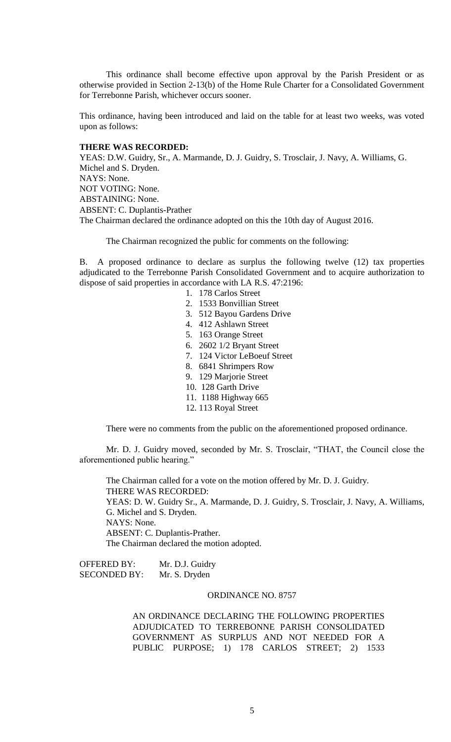This ordinance shall become effective upon approval by the Parish President or as otherwise provided in Section 2-13(b) of the Home Rule Charter for a Consolidated Government for Terrebonne Parish, whichever occurs sooner.

This ordinance, having been introduced and laid on the table for at least two weeks, was voted upon as follows:

# **THERE WAS RECORDED:**

YEAS: D.W. Guidry, Sr., A. Marmande, D. J. Guidry, S. Trosclair, J. Navy, A. Williams, G. Michel and S. Dryden. NAYS: None. NOT VOTING: None. ABSTAINING: None. ABSENT: C. Duplantis-Prather The Chairman declared the ordinance adopted on this the 10th day of August 2016.

The Chairman recognized the public for comments on the following:

B. A proposed ordinance to declare as surplus the following twelve (12) tax properties adjudicated to the Terrebonne Parish Consolidated Government and to acquire authorization to dispose of said properties in accordance with LA R.S. 47:2196:

- 1. 178 Carlos Street
- 2. 1533 Bonvillian Street
- 3. 512 Bayou Gardens Drive
- 4. 412 Ashlawn Street
- 5. 163 Orange Street
- 6. 2602 1/2 Bryant Street
- 7. 124 Victor LeBoeuf Street
- 8. 6841 Shrimpers Row
- 9. 129 Marjorie Street
- 10. 128 Garth Drive
- 11. 1188 Highway 665
- 12. 113 Royal Street

There were no comments from the public on the aforementioned proposed ordinance.

Mr. D. J. Guidry moved, seconded by Mr. S. Trosclair, "THAT, the Council close the aforementioned public hearing."

The Chairman called for a vote on the motion offered by Mr. D. J. Guidry. THERE WAS RECORDED: YEAS: D. W. Guidry Sr., A. Marmande, D. J. Guidry, S. Trosclair, J. Navy, A. Williams, G. Michel and S. Dryden. NAYS: None. ABSENT: C. Duplantis-Prather. The Chairman declared the motion adopted.

OFFERED BY: Mr. D.J. Guidry SECONDED BY: Mr. S. Dryden

### ORDINANCE NO. 8757

AN ORDINANCE DECLARING THE FOLLOWING PROPERTIES ADJUDICATED TO TERREBONNE PARISH CONSOLIDATED GOVERNMENT AS SURPLUS AND NOT NEEDED FOR A PUBLIC PURPOSE; 1) 178 CARLOS STREET; 2) 1533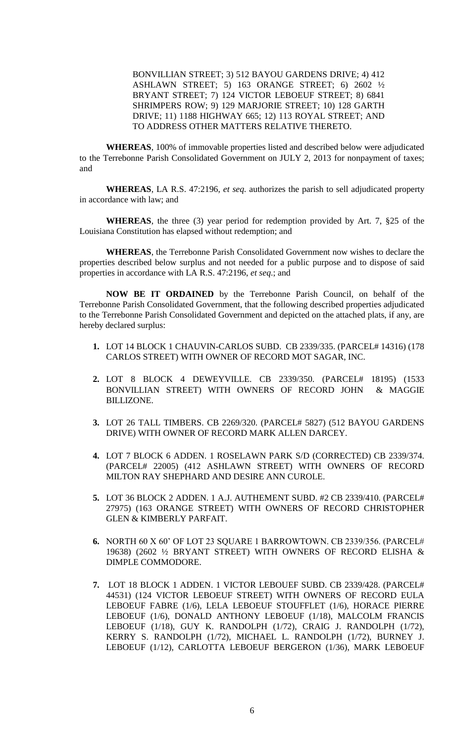BONVILLIAN STREET; 3) 512 BAYOU GARDENS DRIVE; 4) 412 ASHLAWN STREET; 5) 163 ORANGE STREET; 6) 2602 ½ BRYANT STREET; 7) 124 VICTOR LEBOEUF STREET; 8) 6841 SHRIMPERS ROW; 9) 129 MARJORIE STREET; 10) 128 GARTH DRIVE; 11) 1188 HIGHWAY 665; 12) 113 ROYAL STREET; AND TO ADDRESS OTHER MATTERS RELATIVE THERETO.

**WHEREAS**, 100% of immovable properties listed and described below were adjudicated to the Terrebonne Parish Consolidated Government on JULY 2, 2013 for nonpayment of taxes; and

**WHEREAS**, LA R.S. 47:2196, *et seq.* authorizes the parish to sell adjudicated property in accordance with law; and

**WHEREAS**, the three (3) year period for redemption provided by Art. 7, §25 of the Louisiana Constitution has elapsed without redemption; and

**WHEREAS**, the Terrebonne Parish Consolidated Government now wishes to declare the properties described below surplus and not needed for a public purpose and to dispose of said properties in accordance with LA R.S. 47:2196, *et seq*.; and

**NOW BE IT ORDAINED** by the Terrebonne Parish Council, on behalf of the Terrebonne Parish Consolidated Government, that the following described properties adjudicated to the Terrebonne Parish Consolidated Government and depicted on the attached plats, if any, are hereby declared surplus:

- **1.** LOT 14 BLOCK 1 CHAUVIN-CARLOS SUBD. CB 2339/335. (PARCEL# 14316) (178 CARLOS STREET) WITH OWNER OF RECORD MOT SAGAR, INC.
- **2.** LOT 8 BLOCK 4 DEWEYVILLE. CB 2339/350. (PARCEL# 18195) (1533 BONVILLIAN STREET) WITH OWNERS OF RECORD JOHN & MAGGIE BILLIZONE.
- **3.** LOT 26 TALL TIMBERS. CB 2269/320. (PARCEL# 5827) (512 BAYOU GARDENS DRIVE) WITH OWNER OF RECORD MARK ALLEN DARCEY.
- **4.** LOT 7 BLOCK 6 ADDEN. 1 ROSELAWN PARK S/D (CORRECTED) CB 2339/374. (PARCEL# 22005) (412 ASHLAWN STREET) WITH OWNERS OF RECORD MILTON RAY SHEPHARD AND DESIRE ANN CUROLE.
- **5.** LOT 36 BLOCK 2 ADDEN. 1 A.J. AUTHEMENT SUBD. #2 CB 2339/410. (PARCEL# 27975) (163 ORANGE STREET) WITH OWNERS OF RECORD CHRISTOPHER GLEN & KIMBERLY PARFAIT.
- **6.** NORTH 60 X 60' OF LOT 23 SQUARE 1 BARROWTOWN. CB 2339/356. (PARCEL# 19638) (2602 ½ BRYANT STREET) WITH OWNERS OF RECORD ELISHA & DIMPLE COMMODORE.
- **7.** LOT 18 BLOCK 1 ADDEN. 1 VICTOR LEBOUEF SUBD. CB 2339/428. (PARCEL# 44531) (124 VICTOR LEBOEUF STREET) WITH OWNERS OF RECORD EULA LEBOEUF FABRE (1/6), LELA LEBOEUF STOUFFLET (1/6), HORACE PIERRE LEBOEUF (1/6), DONALD ANTHONY LEBOEUF (1/18), MALCOLM FRANCIS LEBOEUF (1/18), GUY K. RANDOLPH (1/72), CRAIG J. RANDOLPH (1/72), KERRY S. RANDOLPH (1/72), MICHAEL L. RANDOLPH (1/72), BURNEY J. LEBOEUF (1/12), CARLOTTA LEBOEUF BERGERON (1/36), MARK LEBOEUF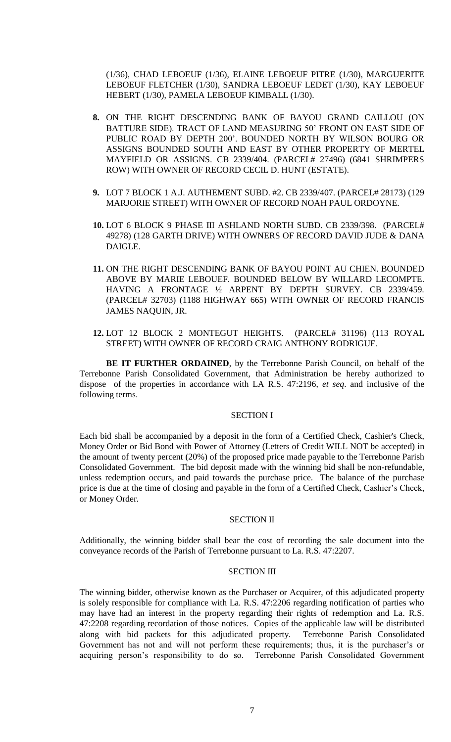(1/36), CHAD LEBOEUF (1/36), ELAINE LEBOEUF PITRE (1/30), MARGUERITE LEBOEUF FLETCHER (1/30), SANDRA LEBOEUF LEDET (1/30), KAY LEBOEUF HEBERT (1/30), PAMELA LEBOEUF KIMBALL (1/30).

- **8.** ON THE RIGHT DESCENDING BANK OF BAYOU GRAND CAILLOU (ON BATTURE SIDE). TRACT OF LAND MEASURING 50' FRONT ON EAST SIDE OF PUBLIC ROAD BY DEPTH 200'. BOUNDED NORTH BY WILSON BOURG OR ASSIGNS BOUNDED SOUTH AND EAST BY OTHER PROPERTY OF MERTEL MAYFIELD OR ASSIGNS. CB 2339/404. (PARCEL# 27496) (6841 SHRIMPERS ROW) WITH OWNER OF RECORD CECIL D. HUNT (ESTATE).
- **9.** LOT 7 BLOCK 1 A.J. AUTHEMENT SUBD. #2. CB 2339/407. (PARCEL# 28173) (129 MARJORIE STREET) WITH OWNER OF RECORD NOAH PAUL ORDOYNE.
- **10.** LOT 6 BLOCK 9 PHASE III ASHLAND NORTH SUBD. CB 2339/398. (PARCEL# 49278) (128 GARTH DRIVE) WITH OWNERS OF RECORD DAVID JUDE & DANA DAIGLE.
- **11.** ON THE RIGHT DESCENDING BANK OF BAYOU POINT AU CHIEN. BOUNDED ABOVE BY MARIE LEBOUEF. BOUNDED BELOW BY WILLARD LECOMPTE. HAVING A FRONTAGE ½ ARPENT BY DEPTH SURVEY. CB 2339/459. (PARCEL# 32703) (1188 HIGHWAY 665) WITH OWNER OF RECORD FRANCIS JAMES NAQUIN, JR.
- **12.** LOT 12 BLOCK 2 MONTEGUT HEIGHTS. (PARCEL# 31196) (113 ROYAL STREET) WITH OWNER OF RECORD CRAIG ANTHONY RODRIGUE.

**BE IT FURTHER ORDAINED**, by the Terrebonne Parish Council, on behalf of the Terrebonne Parish Consolidated Government, that Administration be hereby authorized to dispose of the properties in accordance with LA R.S. 47:2196, *et seq*. and inclusive of the following terms.

## SECTION I

Each bid shall be accompanied by a deposit in the form of a Certified Check, Cashier's Check, Money Order or Bid Bond with Power of Attorney (Letters of Credit WILL NOT be accepted) in the amount of twenty percent (20%) of the proposed price made payable to the Terrebonne Parish Consolidated Government. The bid deposit made with the winning bid shall be non-refundable, unless redemption occurs, and paid towards the purchase price. The balance of the purchase price is due at the time of closing and payable in the form of a Certified Check, Cashier's Check, or Money Order.

#### SECTION II

Additionally, the winning bidder shall bear the cost of recording the sale document into the conveyance records of the Parish of Terrebonne pursuant to La. R.S. 47:2207.

## SECTION III

The winning bidder, otherwise known as the Purchaser or Acquirer, of this adjudicated property is solely responsible for compliance with La. R.S. 47:2206 regarding notification of parties who may have had an interest in the property regarding their rights of redemption and La. R.S. 47:2208 regarding recordation of those notices. Copies of the applicable law will be distributed along with bid packets for this adjudicated property. Terrebonne Parish Consolidated Government has not and will not perform these requirements; thus, it is the purchaser's or acquiring person's responsibility to do so. Terrebonne Parish Consolidated Government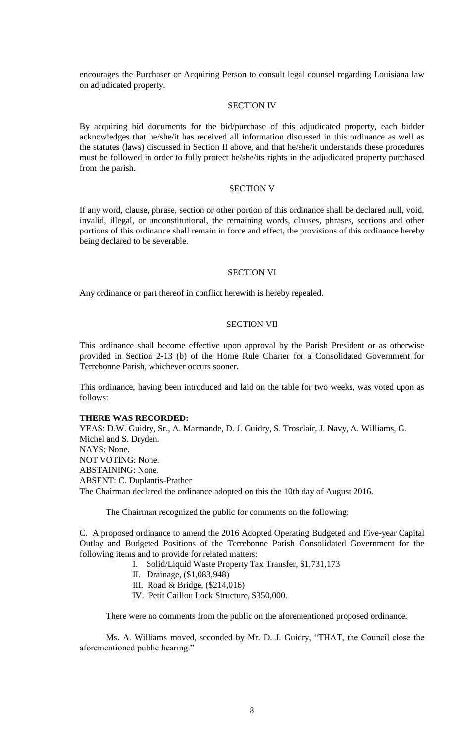encourages the Purchaser or Acquiring Person to consult legal counsel regarding Louisiana law on adjudicated property.

### SECTION IV

By acquiring bid documents for the bid/purchase of this adjudicated property, each bidder acknowledges that he/she/it has received all information discussed in this ordinance as well as the statutes (laws) discussed in Section II above, and that he/she/it understands these procedures must be followed in order to fully protect he/she/its rights in the adjudicated property purchased from the parish.

## SECTION V

If any word, clause, phrase, section or other portion of this ordinance shall be declared null, void, invalid, illegal, or unconstitutional, the remaining words, clauses, phrases, sections and other portions of this ordinance shall remain in force and effect, the provisions of this ordinance hereby being declared to be severable.

### SECTION VI

Any ordinance or part thereof in conflict herewith is hereby repealed.

## SECTION VII

This ordinance shall become effective upon approval by the Parish President or as otherwise provided in Section 2-13 (b) of the Home Rule Charter for a Consolidated Government for Terrebonne Parish, whichever occurs sooner.

This ordinance, having been introduced and laid on the table for two weeks, was voted upon as follows:

#### **THERE WAS RECORDED:**

YEAS: D.W. Guidry, Sr., A. Marmande, D. J. Guidry, S. Trosclair, J. Navy, A. Williams, G. Michel and S. Dryden. NAYS: None. NOT VOTING: None. ABSTAINING: None. ABSENT: C. Duplantis-Prather The Chairman declared the ordinance adopted on this the 10th day of August 2016.

The Chairman recognized the public for comments on the following:

C. A proposed ordinance to amend the 2016 Adopted Operating Budgeted and Five-year Capital Outlay and Budgeted Positions of the Terrebonne Parish Consolidated Government for the following items and to provide for related matters:

I. Solid/Liquid Waste Property Tax Transfer, \$1,731,173

- II. Drainage, (\$1,083,948)
- III. Road & Bridge, (\$214,016)
- IV. Petit Caillou Lock Structure, \$350,000.

There were no comments from the public on the aforementioned proposed ordinance.

Ms. A. Williams moved, seconded by Mr. D. J. Guidry, "THAT, the Council close the aforementioned public hearing."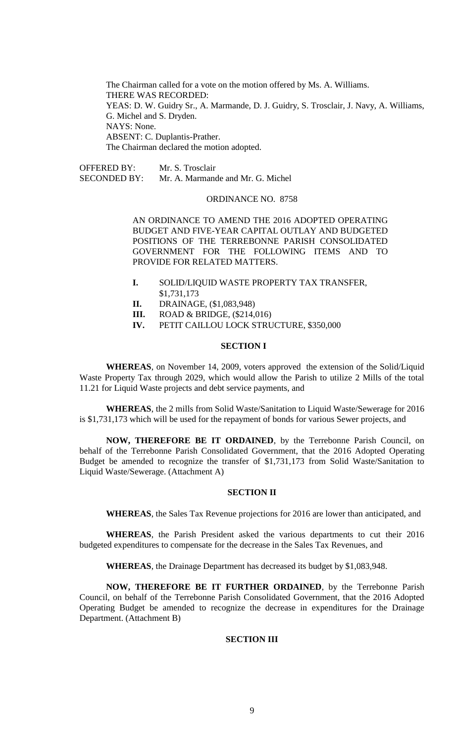The Chairman called for a vote on the motion offered by Ms. A. Williams. THERE WAS RECORDED: YEAS: D. W. Guidry Sr., A. Marmande, D. J. Guidry, S. Trosclair, J. Navy, A. Williams, G. Michel and S. Dryden. NAYS: None. ABSENT: C. Duplantis-Prather. The Chairman declared the motion adopted.

OFFERED BY: Mr. S. Trosclair SECONDED BY: Mr. A. Marmande and Mr. G. Michel

# ORDINANCE NO. 8758

AN ORDINANCE TO AMEND THE 2016 ADOPTED OPERATING BUDGET AND FIVE-YEAR CAPITAL OUTLAY AND BUDGETED POSITIONS OF THE TERREBONNE PARISH CONSOLIDATED GOVERNMENT FOR THE FOLLOWING ITEMS AND TO PROVIDE FOR RELATED MATTERS.

- **I.** SOLID/LIQUID WASTE PROPERTY TAX TRANSFER, \$1,731,173
- **II.** DRAINAGE, (\$1,083,948)
- **III.** ROAD & BRIDGE, (\$214,016)
- **IV.** PETIT CAILLOU LOCK STRUCTURE, \$350,000

#### **SECTION I**

**WHEREAS**, on November 14, 2009, voters approved the extension of the Solid/Liquid Waste Property Tax through 2029, which would allow the Parish to utilize 2 Mills of the total 11.21 for Liquid Waste projects and debt service payments, and

**WHEREAS**, the 2 mills from Solid Waste/Sanitation to Liquid Waste/Sewerage for 2016 is \$1,731,173 which will be used for the repayment of bonds for various Sewer projects, and

**NOW, THEREFORE BE IT ORDAINED**, by the Terrebonne Parish Council, on behalf of the Terrebonne Parish Consolidated Government, that the 2016 Adopted Operating Budget be amended to recognize the transfer of \$1,731,173 from Solid Waste/Sanitation to Liquid Waste/Sewerage. (Attachment A)

## **SECTION II**

**WHEREAS**, the Sales Tax Revenue projections for 2016 are lower than anticipated, and

**WHEREAS**, the Parish President asked the various departments to cut their 2016 budgeted expenditures to compensate for the decrease in the Sales Tax Revenues, and

**WHEREAS**, the Drainage Department has decreased its budget by \$1,083,948.

**NOW, THEREFORE BE IT FURTHER ORDAINED**, by the Terrebonne Parish Council, on behalf of the Terrebonne Parish Consolidated Government, that the 2016 Adopted Operating Budget be amended to recognize the decrease in expenditures for the Drainage Department. (Attachment B)

### **SECTION III**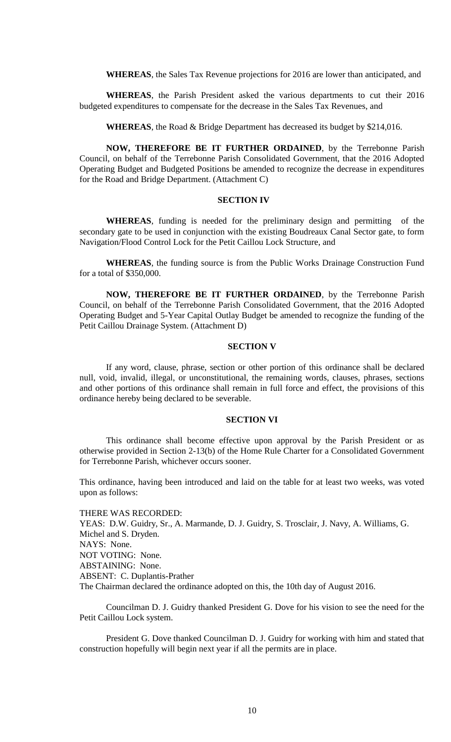**WHEREAS**, the Sales Tax Revenue projections for 2016 are lower than anticipated, and

**WHEREAS**, the Parish President asked the various departments to cut their 2016 budgeted expenditures to compensate for the decrease in the Sales Tax Revenues, and

**WHEREAS**, the Road & Bridge Department has decreased its budget by \$214,016.

**NOW, THEREFORE BE IT FURTHER ORDAINED**, by the Terrebonne Parish Council, on behalf of the Terrebonne Parish Consolidated Government, that the 2016 Adopted Operating Budget and Budgeted Positions be amended to recognize the decrease in expenditures for the Road and Bridge Department. (Attachment C)

#### **SECTION IV**

**WHEREAS**, funding is needed for the preliminary design and permitting of the secondary gate to be used in conjunction with the existing Boudreaux Canal Sector gate, to form Navigation/Flood Control Lock for the Petit Caillou Lock Structure, and

**WHEREAS**, the funding source is from the Public Works Drainage Construction Fund for a total of \$350,000.

**NOW, THEREFORE BE IT FURTHER ORDAINED**, by the Terrebonne Parish Council, on behalf of the Terrebonne Parish Consolidated Government, that the 2016 Adopted Operating Budget and 5-Year Capital Outlay Budget be amended to recognize the funding of the Petit Caillou Drainage System. (Attachment D)

### **SECTION V**

If any word, clause, phrase, section or other portion of this ordinance shall be declared null, void, invalid, illegal, or unconstitutional, the remaining words, clauses, phrases, sections and other portions of this ordinance shall remain in full force and effect, the provisions of this ordinance hereby being declared to be severable.

#### **SECTION VI**

This ordinance shall become effective upon approval by the Parish President or as otherwise provided in Section 2-13(b) of the Home Rule Charter for a Consolidated Government for Terrebonne Parish, whichever occurs sooner.

This ordinance, having been introduced and laid on the table for at least two weeks, was voted upon as follows:

THERE WAS RECORDED: YEAS: D.W. Guidry, Sr., A. Marmande, D. J. Guidry, S. Trosclair, J. Navy, A. Williams, G. Michel and S. Dryden. NAYS: None. NOT VOTING: None. ABSTAINING: None. ABSENT: C. Duplantis-Prather The Chairman declared the ordinance adopted on this, the 10th day of August 2016.

Councilman D. J. Guidry thanked President G. Dove for his vision to see the need for the Petit Caillou Lock system.

President G. Dove thanked Councilman D. J. Guidry for working with him and stated that construction hopefully will begin next year if all the permits are in place.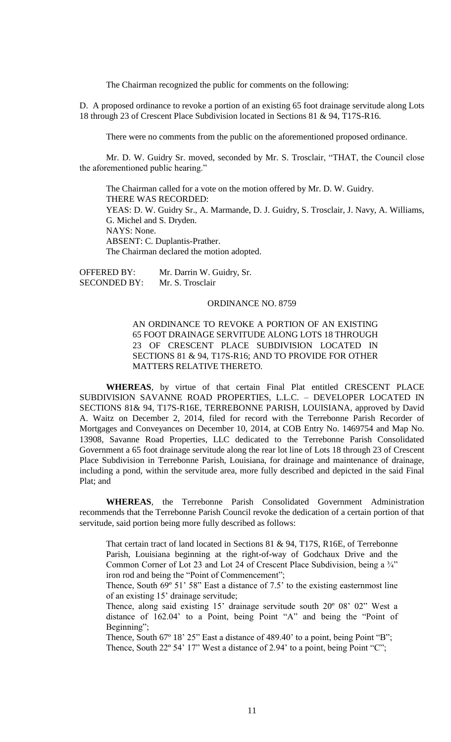The Chairman recognized the public for comments on the following:

D. A proposed ordinance to revoke a portion of an existing 65 foot drainage servitude along Lots 18 through 23 of Crescent Place Subdivision located in Sections 81 & 94, T17S-R16.

There were no comments from the public on the aforementioned proposed ordinance.

Mr. D. W. Guidry Sr. moved, seconded by Mr. S. Trosclair, "THAT, the Council close the aforementioned public hearing."

The Chairman called for a vote on the motion offered by Mr. D. W. Guidry. THERE WAS RECORDED: YEAS: D. W. Guidry Sr., A. Marmande, D. J. Guidry, S. Trosclair, J. Navy, A. Williams, G. Michel and S. Dryden. NAYS: None. ABSENT: C. Duplantis-Prather. The Chairman declared the motion adopted.

OFFERED BY: Mr. Darrin W. Guidry, Sr. SECONDED BY: Mr. S. Trosclair

#### ORDINANCE NO. 8759

AN ORDINANCE TO REVOKE A PORTION OF AN EXISTING 65 FOOT DRAINAGE SERVITUDE ALONG LOTS 18 THROUGH 23 OF CRESCENT PLACE SUBDIVISION LOCATED IN SECTIONS 81 & 94, T17S-R16; AND TO PROVIDE FOR OTHER MATTERS RELATIVE THERETO.

**WHEREAS**, by virtue of that certain Final Plat entitled CRESCENT PLACE SUBDIVISION SAVANNE ROAD PROPERTIES, L.L.C. – DEVELOPER LOCATED IN SECTIONS 81& 94, T17S-R16E, TERREBONNE PARISH, LOUISIANA, approved by David A. Waitz on December 2, 2014, filed for record with the Terrebonne Parish Recorder of Mortgages and Conveyances on December 10, 2014, at COB Entry No. 1469754 and Map No. 13908, Savanne Road Properties, LLC dedicated to the Terrebonne Parish Consolidated Government a 65 foot drainage servitude along the rear lot line of Lots 18 through 23 of Crescent Place Subdivision in Terrebonne Parish, Louisiana, for drainage and maintenance of drainage, including a pond, within the servitude area, more fully described and depicted in the said Final Plat; and

**WHEREAS**, the Terrebonne Parish Consolidated Government Administration recommends that the Terrebonne Parish Council revoke the dedication of a certain portion of that servitude, said portion being more fully described as follows:

That certain tract of land located in Sections 81 & 94, T17S, R16E, of Terrebonne Parish, Louisiana beginning at the right-of-way of Godchaux Drive and the Common Corner of Lot 23 and Lot 24 of Crescent Place Subdivision, being a  $\frac{3}{4}$ " iron rod and being the "Point of Commencement";

Thence, South 69º 51' 58" East a distance of 7.5' to the existing easternmost line of an existing 15' drainage servitude;

Thence, along said existing 15' drainage servitude south 20º 08' 02" West a distance of 162.04' to a Point, being Point "A" and being the "Point of Beginning";

Thence, South 67° 18' 25" East a distance of 489.40' to a point, being Point "B"; Thence, South 22° 54' 17" West a distance of 2.94' to a point, being Point "C";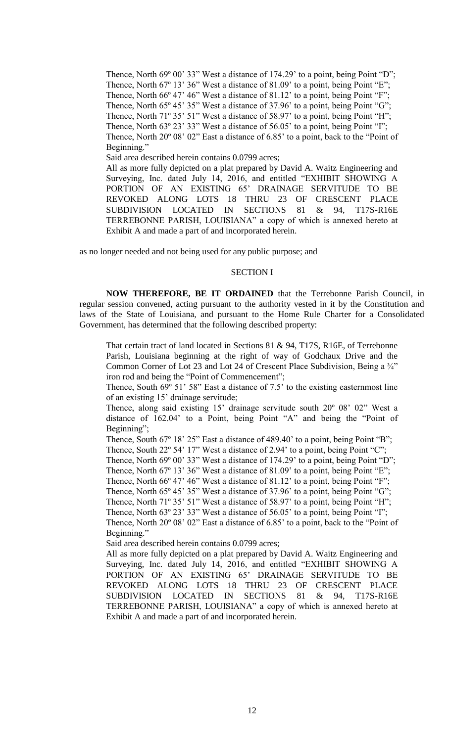Thence, North 69° 00' 33" West a distance of 174.29' to a point, being Point "D"; Thence, North 67° 13' 36" West a distance of 81.09' to a point, being Point "E" Thence, North 66° 47' 46" West a distance of 81.12' to a point, being Point "F"; Thence, North 65° 45' 35" West a distance of 37.96' to a point, being Point "G"; Thence, North 71° 35' 51" West a distance of 58.97' to a point, being Point "H"; Thence, North 63° 23' 33" West a distance of 56.05' to a point, being Point "I"; Thence, North 20º 08' 02" East a distance of 6.85' to a point, back to the "Point of Beginning." Said area described herein contains 0.0799 acres; All as more fully depicted on a plat prepared by David A. Waitz Engineering and Surveying, Inc. dated July 14, 2016, and entitled "EXHIBIT SHOWING A PORTION OF AN EXISTING 65' DRAINAGE SERVITUDE TO BE REVOKED ALONG LOTS 18 THRU 23 OF CRESCENT PLACE

SUBDIVISION LOCATED IN SECTIONS 81 & 94, T17S-R16E TERREBONNE PARISH, LOUISIANA" a copy of which is annexed hereto at Exhibit A and made a part of and incorporated herein.

as no longer needed and not being used for any public purpose; and

### SECTION I

**NOW THEREFORE, BE IT ORDAINED** that the Terrebonne Parish Council, in regular session convened, acting pursuant to the authority vested in it by the Constitution and laws of the State of Louisiana, and pursuant to the Home Rule Charter for a Consolidated Government, has determined that the following described property:

That certain tract of land located in Sections 81 & 94, T17S, R16E, of Terrebonne Parish, Louisiana beginning at the right of way of Godchaux Drive and the Common Corner of Lot 23 and Lot 24 of Crescent Place Subdivision, Being a ¾" iron rod and being the "Point of Commencement";

Thence, South 69º 51' 58" East a distance of 7.5' to the existing easternmost line of an existing 15' drainage servitude;

Thence, along said existing 15' drainage servitude south 20º 08' 02" West a distance of 162.04' to a Point, being Point "A" and being the "Point of Beginning";

Thence, South 67° 18' 25" East a distance of 489.40' to a point, being Point "B";

Thence, South 22° 54' 17" West a distance of 2.94' to a point, being Point "C";

Thence, North 69° 00' 33" West a distance of 174.29' to a point, being Point "D";

Thence, North 67° 13' 36" West a distance of 81.09' to a point, being Point "E";

Thence, North 66° 47' 46" West a distance of 81.12' to a point, being Point "F";

Thence, North 65° 45' 35" West a distance of 37.96' to a point, being Point "G";

Thence, North 71° 35' 51" West a distance of 58.97' to a point, being Point "H";

Thence, North 63° 23' 33" West a distance of 56.05' to a point, being Point "I";

Thence, North 20º 08' 02" East a distance of 6.85' to a point, back to the "Point of Beginning."

Said area described herein contains 0.0799 acres;

All as more fully depicted on a plat prepared by David A. Waitz Engineering and Surveying, Inc. dated July 14, 2016, and entitled "EXHIBIT SHOWING A PORTION OF AN EXISTING 65' DRAINAGE SERVITUDE TO BE REVOKED ALONG LOTS 18 THRU 23 OF CRESCENT PLACE SUBDIVISION LOCATED IN SECTIONS 81 & 94, T17S-R16E TERREBONNE PARISH, LOUISIANA" a copy of which is annexed hereto at Exhibit A and made a part of and incorporated herein.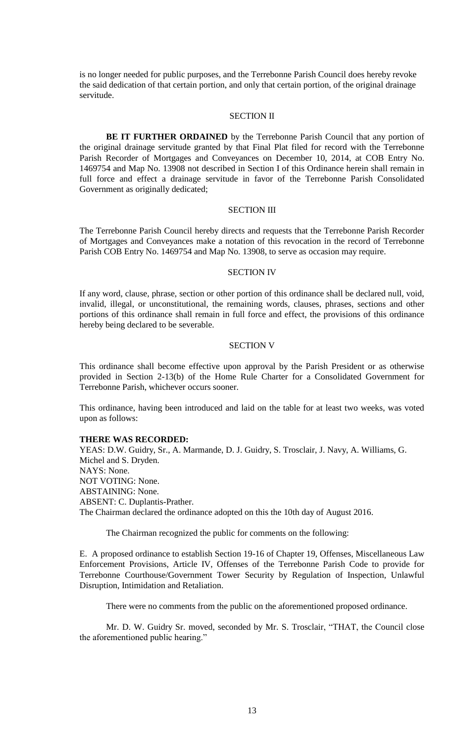is no longer needed for public purposes, and the Terrebonne Parish Council does hereby revoke the said dedication of that certain portion, and only that certain portion, of the original drainage servitude.

### SECTION II

**BE IT FURTHER ORDAINED** by the Terrebonne Parish Council that any portion of the original drainage servitude granted by that Final Plat filed for record with the Terrebonne Parish Recorder of Mortgages and Conveyances on December 10, 2014, at COB Entry No. 1469754 and Map No. 13908 not described in Section I of this Ordinance herein shall remain in full force and effect a drainage servitude in favor of the Terrebonne Parish Consolidated Government as originally dedicated;

#### SECTION III

The Terrebonne Parish Council hereby directs and requests that the Terrebonne Parish Recorder of Mortgages and Conveyances make a notation of this revocation in the record of Terrebonne Parish COB Entry No. 1469754 and Map No. 13908, to serve as occasion may require.

#### SECTION IV

If any word, clause, phrase, section or other portion of this ordinance shall be declared null, void, invalid, illegal, or unconstitutional, the remaining words, clauses, phrases, sections and other portions of this ordinance shall remain in full force and effect, the provisions of this ordinance hereby being declared to be severable.

### SECTION V

This ordinance shall become effective upon approval by the Parish President or as otherwise provided in Section 2-13(b) of the Home Rule Charter for a Consolidated Government for Terrebonne Parish, whichever occurs sooner.

This ordinance, having been introduced and laid on the table for at least two weeks, was voted upon as follows:

### **THERE WAS RECORDED:**

YEAS: D.W. Guidry, Sr., A. Marmande, D. J. Guidry, S. Trosclair, J. Navy, A. Williams, G. Michel and S. Dryden. NAYS: None. NOT VOTING: None. ABSTAINING: None. ABSENT: C. Duplantis-Prather. The Chairman declared the ordinance adopted on this the 10th day of August 2016.

The Chairman recognized the public for comments on the following:

E. A proposed ordinance to establish Section 19-16 of Chapter 19, Offenses, Miscellaneous Law Enforcement Provisions, Article IV, Offenses of the Terrebonne Parish Code to provide for Terrebonne Courthouse/Government Tower Security by Regulation of Inspection, Unlawful Disruption, Intimidation and Retaliation.

There were no comments from the public on the aforementioned proposed ordinance.

Mr. D. W. Guidry Sr. moved, seconded by Mr. S. Trosclair, "THAT, the Council close the aforementioned public hearing."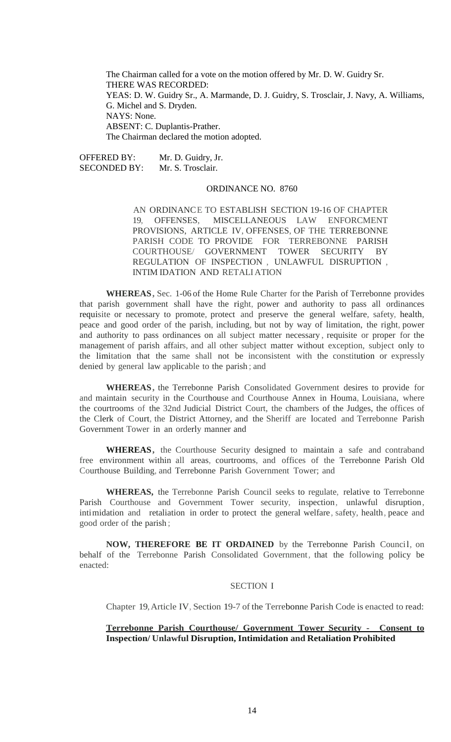The Chairman called for a vote on the motion offered by Mr. D. W. Guidry Sr. THERE WAS RECORDED: YEAS: D. W. Guidry Sr., A. Marmande, D. J. Guidry, S. Trosclair, J. Navy, A. Williams, G. Michel and S. Dryden. NAYS: None. ABSENT: C. Duplantis-Prather. The Chairman declared the motion adopted.

OFFERED BY: Mr. D. Guidry, Jr. SECONDED BY: Mr. S. Trosclair.

## ORDINANCE NO. 8760

AN ORDINANCE TO ESTABLISH SECTION 19-16 OF CHAPTER 19, OFFENSES, MISCELLANEOUS LAW ENFORCMENT PROVISIONS, ARTICLE IV, OFFENSES, OF THE TERREBONNE PARISH CODE TO PROVIDE FOR TERREBONNE PARISH COURTHOUSE/ GOVERNMENT TOWER SECURITY BY REGULATION OF INSPECTION , UNLAWFUL DISRUPTION , INTIM IDATION AND RETALIATION

**WHEREAS,** Sec. 1-06 of the Home Rule Charter for the Parish of Terrebonne provides that parish government shall have the right, power and authority to pass all ordinances requisite or necessary to promote, protect and preserve the general welfare, safety, health, peace and good order of the parish, including, but not by way of limitation, the right, power and authority to pass ordinances on all subject matter necessary , requisite or proper for the management of parish affairs, and all other subject matter without exception, subject only to the limitation that the same shall not be inconsistent with the constitution or expressly denied by general law applicable to the parish ; and

**WHEREAS,** the Terrebonne Parish Consolidated Government desires to provide for and maintain security in the Courthouse and Courthouse Annex in Houma, Louisiana, where the courtrooms of the 32nd Judicial District Court, the chambers of the Judges, the offices of the Clerk of Court, the District Attorney, and the Sheriff are located and Terrebonne Parish Government Tower in an orderly manner and

**WHEREAS,** the Courthouse Security designed to maintain a safe and contraband free environment within all areas, courtrooms, and offices of the Terrebonne Parish Old Courthouse Building, and Terrebonne Parish Government Tower; and

**WHEREAS,** the Terrebonne Parish Council seeks to regulate, relative to Terrebonne Parish Courthouse and Government Tower security, inspection, unlawful disruption, intimidation and retaliation in order to protect the general welfare, safety, health, peace and good order of the parish ;

**NOW, THEREFORE BE IT ORDAINED** by the Terrebonne Parish Council, on behalf of the Terrebonne Parish Consolidated Government, that the following policy be enacted:

#### SECTION I

Chapter 19,Article IV, Section 19-7 of the Terrebonne Parish Code is enacted to read:

### **Terrebonne Parish Courthouse/ Government Tower Security - Consent to Inspection/ Unlawful Disruption, Intimidation and Retaliation Prohibited**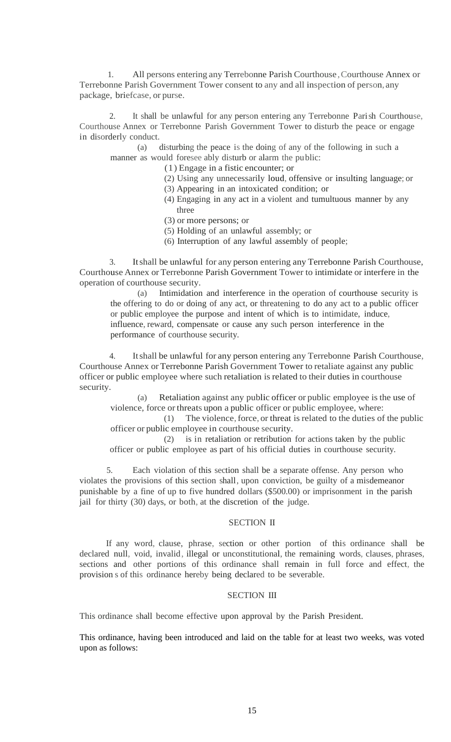1. All persons entering any Terrebonne Parish Courthouse,Courthouse Annex or Terrebonne Parish Government Tower consent to any and all inspection of person, any package, briefcase, or purse.

2. It shall be unlawful for any person entering any Terrebonne Parish Courthouse, Courthouse Annex or Terrebonne Parish Government Tower to disturb the peace or engage in disorderly conduct.

(a) disturbing the peace is the doing of any of the following in such a manner as would foresee ably disturb or alarm the public:

(1) Engage in a fistic encounter; or

- (2) Using any unnecessarily loud, offensive or insulting language; or
- (3) Appearing in an intoxicated condition; or
- (4) Engaging in any act in a violent and tumultuous manner by any three
- (3) or more persons; or
- (5) Holding of an unlawful assembly; or
- (6) Interruption of any lawful assembly of people;

3. Itshall be unlawful for any person entering any Terrebonne Parish Courthouse, Courthouse Annex or Terrebonne Parish Government Tower to intimidate or interfere in the operation of courthouse security.

(a) Intimidation and interference in the operation of courthouse security is the offering to do or doing of any act, or threatening to do any act to a public officer or public employee the purpose and intent of which is to intimidate, induce, influence, reward, compensate or cause any such person interference in the performance of courthouse security.

4. Itshall be unlawful for any person entering any Terrebonne Parish Courthouse, Courthouse Annex or Terrebonne Parish Government Tower to retaliate against any public officer or public employee where such retaliation is related to their duties in courthouse security.

(a) Retaliation against any public officer or public employee is the use of violence, force or threats upon a public officer or public employee, where:

(1) The violence,force, or threat is related to the duties of the public officer or public employee in courthouse security.

(2) is in retaliation or retribution for actions taken by the public officer or public employee as part of his official duties in courthouse security.

5. Each violation of this section shall be a separate offense. Any person who violates the provisions of this section shall, upon conviction, be guilty of a misdemeanor punishable by a fine of up to five hundred dollars (\$500.00) or imprisonment in the parish jail for thirty (30) days, or both, at the discretion of the judge.

## SECTION II

If any word, clause, phrase, section or other portion of this ordinance shall be declared null, void, invalid, illegal or unconstitutional, the remaining words, clauses, phrases, sections and other portions of this ordinance shall remain in full force and effect, the provision s of this ordinance hereby being declared to be severable.

## SECTION III

This ordinance shall become effective upon approval by the Parish President.

This ordinance, having been introduced and laid on the table for at least two weeks, was voted upon as follows: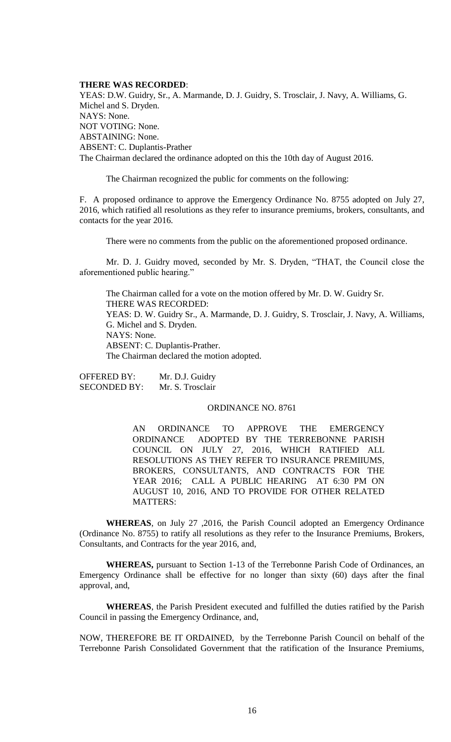### **THERE WAS RECORDED**:

YEAS: D.W. Guidry, Sr., A. Marmande, D. J. Guidry, S. Trosclair, J. Navy, A. Williams, G. Michel and S. Dryden. NAYS: None. NOT VOTING: None. ABSTAINING: None. ABSENT: C. Duplantis-Prather The Chairman declared the ordinance adopted on this the 10th day of August 2016.

The Chairman recognized the public for comments on the following:

F. A proposed ordinance to approve the Emergency Ordinance No. 8755 adopted on July 27, 2016, which ratified all resolutions as they refer to insurance premiums, brokers, consultants, and contacts for the year 2016.

There were no comments from the public on the aforementioned proposed ordinance.

Mr. D. J. Guidry moved, seconded by Mr. S. Dryden, "THAT, the Council close the aforementioned public hearing."

The Chairman called for a vote on the motion offered by Mr. D. W. Guidry Sr. THERE WAS RECORDED: YEAS: D. W. Guidry Sr., A. Marmande, D. J. Guidry, S. Trosclair, J. Navy, A. Williams, G. Michel and S. Dryden. NAYS: None. ABSENT: C. Duplantis-Prather. The Chairman declared the motion adopted.

OFFERED BY: Mr. D.J. Guidry SECONDED BY: Mr. S. Trosclair

### ORDINANCE NO. 8761

AN ORDINANCE TO APPROVE THE EMERGENCY ORDINANCE ADOPTED BY THE TERREBONNE PARISH COUNCIL ON JULY 27, 2016, WHICH RATIFIED ALL RESOLUTIONS AS THEY REFER TO INSURANCE PREMIIUMS, BROKERS, CONSULTANTS, AND CONTRACTS FOR THE YEAR 2016; CALL A PUBLIC HEARING AT 6:30 PM ON AUGUST 10, 2016, AND TO PROVIDE FOR OTHER RELATED MATTERS:

**WHEREAS**, on July 27 ,2016, the Parish Council adopted an Emergency Ordinance (Ordinance No. 8755) to ratify all resolutions as they refer to the Insurance Premiums, Brokers, Consultants, and Contracts for the year 2016, and,

**WHEREAS,** pursuant to Section 1-13 of the Terrebonne Parish Code of Ordinances, an Emergency Ordinance shall be effective for no longer than sixty (60) days after the final approval, and,

**WHEREAS**, the Parish President executed and fulfilled the duties ratified by the Parish Council in passing the Emergency Ordinance, and,

NOW, THEREFORE BE IT ORDAINED, by the Terrebonne Parish Council on behalf of the Terrebonne Parish Consolidated Government that the ratification of the Insurance Premiums,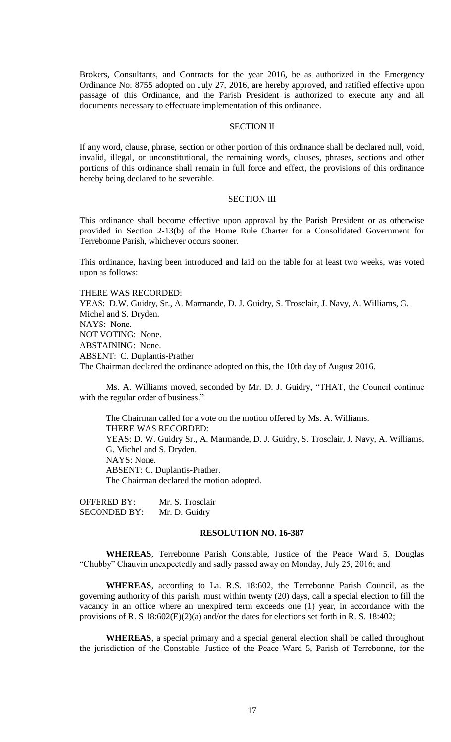Brokers, Consultants, and Contracts for the year 2016, be as authorized in the Emergency Ordinance No. 8755 adopted on July 27, 2016, are hereby approved, and ratified effective upon passage of this Ordinance, and the Parish President is authorized to execute any and all documents necessary to effectuate implementation of this ordinance.

### SECTION II

If any word, clause, phrase, section or other portion of this ordinance shall be declared null, void, invalid, illegal, or unconstitutional, the remaining words, clauses, phrases, sections and other portions of this ordinance shall remain in full force and effect, the provisions of this ordinance hereby being declared to be severable.

## SECTION III

This ordinance shall become effective upon approval by the Parish President or as otherwise provided in Section 2-13(b) of the Home Rule Charter for a Consolidated Government for Terrebonne Parish, whichever occurs sooner.

This ordinance, having been introduced and laid on the table for at least two weeks, was voted upon as follows:

THERE WAS RECORDED:

YEAS: D.W. Guidry, Sr., A. Marmande, D. J. Guidry, S. Trosclair, J. Navy, A. Williams, G. Michel and S. Dryden. NAYS: None. NOT VOTING: None. ABSTAINING: None. ABSENT: C. Duplantis-Prather The Chairman declared the ordinance adopted on this, the 10th day of August 2016.

Ms. A. Williams moved, seconded by Mr. D. J. Guidry, "THAT, the Council continue with the regular order of business."

The Chairman called for a vote on the motion offered by Ms. A. Williams. THERE WAS RECORDED: YEAS: D. W. Guidry Sr., A. Marmande, D. J. Guidry, S. Trosclair, J. Navy, A. Williams, G. Michel and S. Dryden. NAYS: None. ABSENT: C. Duplantis-Prather. The Chairman declared the motion adopted.

OFFERED BY: Mr. S. Trosclair SECONDED BY: Mr. D. Guidry

## **RESOLUTION NO. 16-387**

**WHEREAS**, Terrebonne Parish Constable, Justice of the Peace Ward 5, Douglas "Chubby" Chauvin unexpectedly and sadly passed away on Monday, July 25, 2016; and

**WHEREAS**, according to La. R.S. 18:602, the Terrebonne Parish Council, as the governing authority of this parish, must within twenty (20) days, call a special election to fill the vacancy in an office where an unexpired term exceeds one (1) year, in accordance with the provisions of R. S 18:602(E)(2)(a) and/or the dates for elections set forth in R. S. 18:402;

**WHEREAS**, a special primary and a special general election shall be called throughout the jurisdiction of the Constable, Justice of the Peace Ward 5, Parish of Terrebonne, for the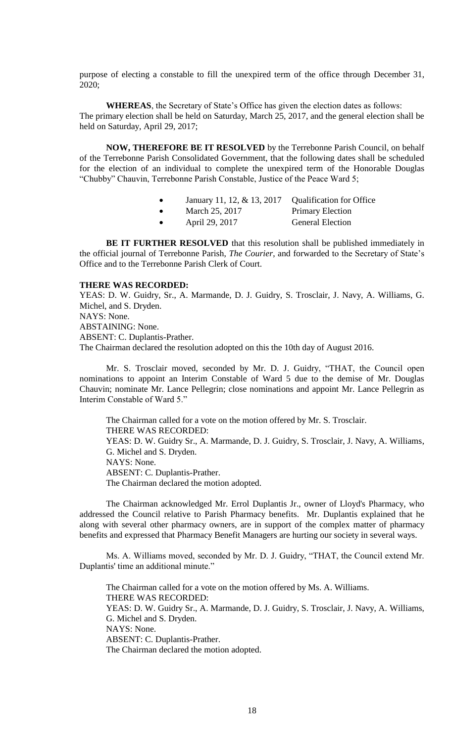purpose of electing a constable to fill the unexpired term of the office through December 31, 2020;

**WHEREAS**, the Secretary of State's Office has given the election dates as follows: The primary election shall be held on Saturday, March 25, 2017, and the general election shall be held on Saturday, April 29, 2017;

**NOW, THEREFORE BE IT RESOLVED** by the Terrebonne Parish Council, on behalf of the Terrebonne Parish Consolidated Government, that the following dates shall be scheduled for the election of an individual to complete the unexpired term of the Honorable Douglas "Chubby" Chauvin, Terrebonne Parish Constable, Justice of the Peace Ward 5;

| January 11, 12, $\&$ 13, 2017 Qualification for Office |  |
|--------------------------------------------------------|--|
|--------------------------------------------------------|--|

- March 25, 2017 Primary Election
- April 29, 2017 General Election

**BE IT FURTHER RESOLVED** that this resolution shall be published immediately in the official journal of Terrebonne Parish, *The Courier*, and forwarded to the Secretary of State's Office and to the Terrebonne Parish Clerk of Court.

## **THERE WAS RECORDED:**

YEAS: D. W. Guidry, Sr., A. Marmande, D. J. Guidry, S. Trosclair, J. Navy, A. Williams, G. Michel, and S. Dryden. NAYS: None. ABSTAINING: None. ABSENT: C. Duplantis-Prather. The Chairman declared the resolution adopted on this the 10th day of August 2016.

Mr. S. Trosclair moved, seconded by Mr. D. J. Guidry, "THAT, the Council open nominations to appoint an Interim Constable of Ward 5 due to the demise of Mr. Douglas Chauvin; nominate Mr. Lance Pellegrin; close nominations and appoint Mr. Lance Pellegrin as Interim Constable of Ward 5."

The Chairman called for a vote on the motion offered by Mr. S. Trosclair. THERE WAS RECORDED: YEAS: D. W. Guidry Sr., A. Marmande, D. J. Guidry, S. Trosclair, J. Navy, A. Williams, G. Michel and S. Dryden. NAYS: None. ABSENT: C. Duplantis-Prather. The Chairman declared the motion adopted.

The Chairman acknowledged Mr. Errol Duplantis Jr., owner of Lloyd's Pharmacy, who addressed the Council relative to Parish Pharmacy benefits. Mr. Duplantis explained that he along with several other pharmacy owners, are in support of the complex matter of pharmacy benefits and expressed that Pharmacy Benefit Managers are hurting our society in several ways.

Ms. A. Williams moved, seconded by Mr. D. J. Guidry, "THAT, the Council extend Mr. Duplantis' time an additional minute."

The Chairman called for a vote on the motion offered by Ms. A. Williams. THERE WAS RECORDED: YEAS: D. W. Guidry Sr., A. Marmande, D. J. Guidry, S. Trosclair, J. Navy, A. Williams, G. Michel and S. Dryden. NAYS: None. ABSENT: C. Duplantis-Prather. The Chairman declared the motion adopted.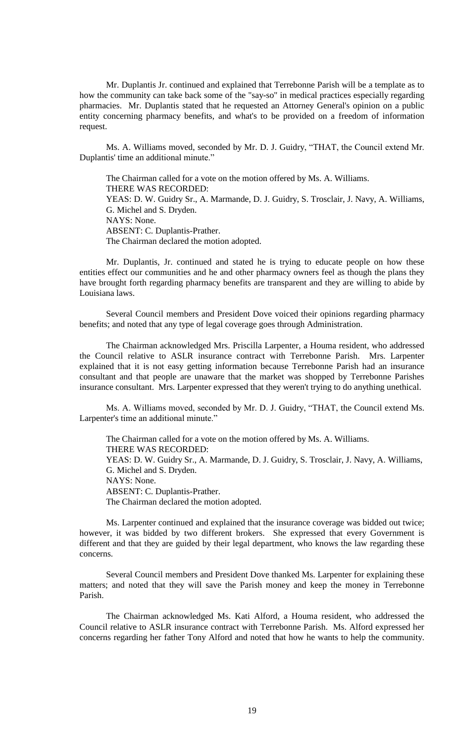Mr. Duplantis Jr. continued and explained that Terrebonne Parish will be a template as to how the community can take back some of the "say-so" in medical practices especially regarding pharmacies. Mr. Duplantis stated that he requested an Attorney General's opinion on a public entity concerning pharmacy benefits, and what's to be provided on a freedom of information request.

Ms. A. Williams moved, seconded by Mr. D. J. Guidry, "THAT, the Council extend Mr. Duplantis' time an additional minute."

The Chairman called for a vote on the motion offered by Ms. A. Williams. THERE WAS RECORDED: YEAS: D. W. Guidry Sr., A. Marmande, D. J. Guidry, S. Trosclair, J. Navy, A. Williams, G. Michel and S. Dryden. NAYS: None. ABSENT: C. Duplantis-Prather. The Chairman declared the motion adopted.

Mr. Duplantis, Jr. continued and stated he is trying to educate people on how these entities effect our communities and he and other pharmacy owners feel as though the plans they have brought forth regarding pharmacy benefits are transparent and they are willing to abide by Louisiana laws.

Several Council members and President Dove voiced their opinions regarding pharmacy benefits; and noted that any type of legal coverage goes through Administration.

The Chairman acknowledged Mrs. Priscilla Larpenter, a Houma resident, who addressed the Council relative to ASLR insurance contract with Terrebonne Parish. Mrs. Larpenter explained that it is not easy getting information because Terrebonne Parish had an insurance consultant and that people are unaware that the market was shopped by Terrebonne Parishes insurance consultant. Mrs. Larpenter expressed that they weren't trying to do anything unethical.

Ms. A. Williams moved, seconded by Mr. D. J. Guidry, "THAT, the Council extend Ms. Larpenter's time an additional minute."

The Chairman called for a vote on the motion offered by Ms. A. Williams. THERE WAS RECORDED: YEAS: D. W. Guidry Sr., A. Marmande, D. J. Guidry, S. Trosclair, J. Navy, A. Williams, G. Michel and S. Dryden. NAYS: None. ABSENT: C. Duplantis-Prather. The Chairman declared the motion adopted.

Ms. Larpenter continued and explained that the insurance coverage was bidded out twice; however, it was bidded by two different brokers. She expressed that every Government is different and that they are guided by their legal department, who knows the law regarding these concerns.

Several Council members and President Dove thanked Ms. Larpenter for explaining these matters; and noted that they will save the Parish money and keep the money in Terrebonne Parish.

The Chairman acknowledged Ms. Kati Alford, a Houma resident, who addressed the Council relative to ASLR insurance contract with Terrebonne Parish. Ms. Alford expressed her concerns regarding her father Tony Alford and noted that how he wants to help the community.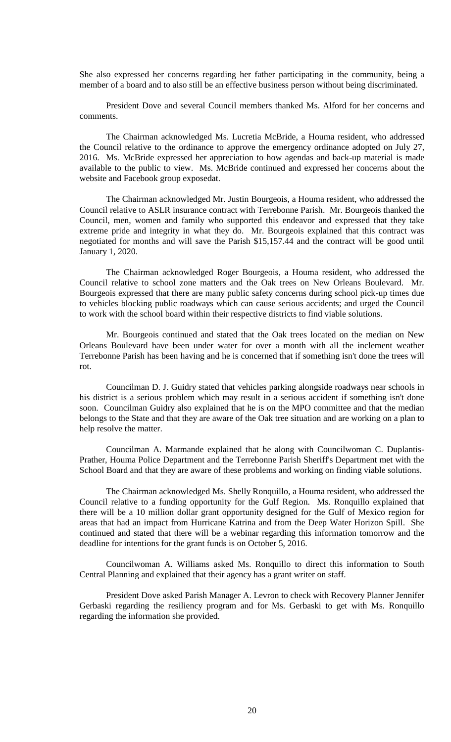She also expressed her concerns regarding her father participating in the community, being a member of a board and to also still be an effective business person without being discriminated.

President Dove and several Council members thanked Ms. Alford for her concerns and comments.

The Chairman acknowledged Ms. Lucretia McBride, a Houma resident, who addressed the Council relative to the ordinance to approve the emergency ordinance adopted on July 27, 2016. Ms. McBride expressed her appreciation to how agendas and back-up material is made available to the public to view. Ms. McBride continued and expressed her concerns about the website and Facebook group exposedat.

The Chairman acknowledged Mr. Justin Bourgeois, a Houma resident, who addressed the Council relative to ASLR insurance contract with Terrebonne Parish. Mr. Bourgeois thanked the Council, men, women and family who supported this endeavor and expressed that they take extreme pride and integrity in what they do. Mr. Bourgeois explained that this contract was negotiated for months and will save the Parish \$15,157.44 and the contract will be good until January 1, 2020.

The Chairman acknowledged Roger Bourgeois, a Houma resident, who addressed the Council relative to school zone matters and the Oak trees on New Orleans Boulevard. Mr. Bourgeois expressed that there are many public safety concerns during school pick-up times due to vehicles blocking public roadways which can cause serious accidents; and urged the Council to work with the school board within their respective districts to find viable solutions.

Mr. Bourgeois continued and stated that the Oak trees located on the median on New Orleans Boulevard have been under water for over a month with all the inclement weather Terrebonne Parish has been having and he is concerned that if something isn't done the trees will rot.

Councilman D. J. Guidry stated that vehicles parking alongside roadways near schools in his district is a serious problem which may result in a serious accident if something isn't done soon. Councilman Guidry also explained that he is on the MPO committee and that the median belongs to the State and that they are aware of the Oak tree situation and are working on a plan to help resolve the matter.

Councilman A. Marmande explained that he along with Councilwoman C. Duplantis-Prather, Houma Police Department and the Terrebonne Parish Sheriff's Department met with the School Board and that they are aware of these problems and working on finding viable solutions.

The Chairman acknowledged Ms. Shelly Ronquillo, a Houma resident, who addressed the Council relative to a funding opportunity for the Gulf Region. Ms. Ronquillo explained that there will be a 10 million dollar grant opportunity designed for the Gulf of Mexico region for areas that had an impact from Hurricane Katrina and from the Deep Water Horizon Spill. She continued and stated that there will be a webinar regarding this information tomorrow and the deadline for intentions for the grant funds is on October 5, 2016.

Councilwoman A. Williams asked Ms. Ronquillo to direct this information to South Central Planning and explained that their agency has a grant writer on staff.

President Dove asked Parish Manager A. Levron to check with Recovery Planner Jennifer Gerbaski regarding the resiliency program and for Ms. Gerbaski to get with Ms. Ronquillo regarding the information she provided.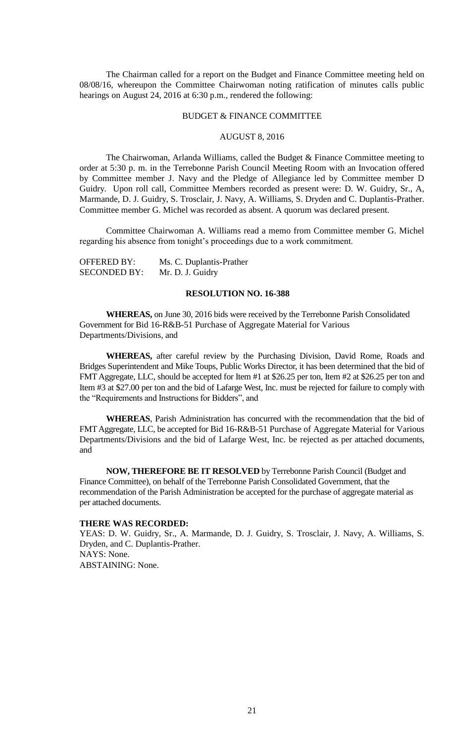The Chairman called for a report on the Budget and Finance Committee meeting held on 08/08/16, whereupon the Committee Chairwoman noting ratification of minutes calls public hearings on August 24, 2016 at 6:30 p.m., rendered the following:

#### BUDGET & FINANCE COMMITTEE

## AUGUST 8, 2016

The Chairwoman, Arlanda Williams, called the Budget & Finance Committee meeting to order at 5:30 p. m. in the Terrebonne Parish Council Meeting Room with an Invocation offered by Committee member J. Navy and the Pledge of Allegiance led by Committee member D Guidry. Upon roll call, Committee Members recorded as present were: D. W. Guidry, Sr., A, Marmande, D. J. Guidry, S. Trosclair, J. Navy, A. Williams, S. Dryden and C. Duplantis-Prather. Committee member G. Michel was recorded as absent. A quorum was declared present.

Committee Chairwoman A. Williams read a memo from Committee member G. Michel regarding his absence from tonight's proceedings due to a work commitment.

| <b>OFFERED BY:</b>  | Ms. C. Duplantis-Prather |
|---------------------|--------------------------|
| <b>SECONDED BY:</b> | Mr. D. J. Guidry         |

## **RESOLUTION NO. 16-388**

**WHEREAS,** on June 30, 2016 bids were received by the Terrebonne Parish Consolidated Government for Bid 16-R&B-51 Purchase of Aggregate Material for Various Departments/Divisions, and

**WHEREAS,** after careful review by the Purchasing Division, David Rome, Roads and Bridges Superintendent and Mike Toups, Public Works Director, it has been determined that the bid of FMT Aggregate, LLC, should be accepted for Item #1 at \$26.25 per ton, Item #2 at \$26.25 per ton and Item #3 at \$27.00 per ton and the bid of Lafarge West, Inc. must be rejected for failure to comply with the "Requirements and Instructions for Bidders", and

**WHEREAS**, Parish Administration has concurred with the recommendation that the bid of FMT Aggregate, LLC, be accepted for Bid 16-R&B-51 Purchase of Aggregate Material for Various Departments/Divisions and the bid of Lafarge West, Inc. be rejected as per attached documents, and

**NOW, THEREFORE BE IT RESOLVED** by Terrebonne Parish Council (Budget and Finance Committee), on behalf of the Terrebonne Parish Consolidated Government, that the recommendation of the Parish Administration be accepted for the purchase of aggregate material as per attached documents.

## **THERE WAS RECORDED:**

YEAS: D. W. Guidry, Sr., A. Marmande, D. J. Guidry, S. Trosclair, J. Navy, A. Williams, S. Dryden, and C. Duplantis-Prather. NAYS: None. ABSTAINING: None.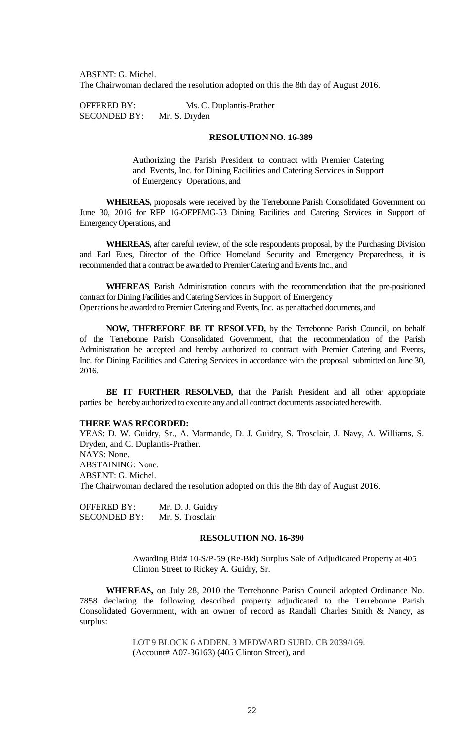ABSENT: G. Michel. The Chairwoman declared the resolution adopted on this the 8th day of August 2016.

OFFERED BY: Ms. C. Duplantis-Prather SECONDED BY: Mr. S. Dryden

## **RESOLUTION NO. 16-389**

Authorizing the Parish President to contract with Premier Catering and Events, Inc. for Dining Facilities and Catering Services in Support of Emergency Operations, and

**WHEREAS,** proposals were received by the Terrebonne Parish Consolidated Government on June 30, 2016 for RFP 16-OEPEMG-53 Dining Facilities and Catering Services in Support of EmergencyOperations, and

**WHEREAS,** after careful review, of the sole respondents proposal, by the Purchasing Division and Earl Eues, Director of the Office Homeland Security and Emergency Preparedness, it is recommended that a contract be awarded to Premier Catering and Events Inc., and

**WHEREAS**, Parish Administration concurs with the recommendation that the pre-positioned contract for Dining Facilities and Catering Services in Support of Emergency Operations be awarded to Premier Catering and Events, Inc. as per attached documents, and

**NOW, THEREFORE BE IT RESOLVED,** by the Terrebonne Parish Council, on behalf of the Terrebonne Parish Consolidated Government, that the recommendation of the Parish Administration be accepted and hereby authorized to contract with Premier Catering and Events, Inc. for Dining Facilities and Catering Services in accordance with the proposal submitted on June 30, 2016.

**BE IT FURTHER RESOLVED,** that the Parish President and all other appropriate parties be hereby authorized to execute any and all contract documents associated herewith.

### **THERE WAS RECORDED:**

YEAS: D. W. Guidry, Sr., A. Marmande, D. J. Guidry, S. Trosclair, J. Navy, A. Williams, S. Dryden, and C. Duplantis-Prather. NAYS: None. ABSTAINING: None. ABSENT: G. Michel. The Chairwoman declared the resolution adopted on this the 8th day of August 2016.

OFFERED BY: Mr. D. J. Guidry SECONDED BY: Mr. S. Trosclair

## **RESOLUTION NO. 16-390**

Awarding Bid# 10-S/P-59 (Re-Bid) Surplus Sale of Adjudicated Property at 405 Clinton Street to Rickey A. Guidry, Sr.

**WHEREAS,** on July 28, 2010 the Terrebonne Parish Council adopted Ordinance No. 7858 declaring the following described property adjudicated to the Terrebonne Parish Consolidated Government, with an owner of record as Randall Charles Smith & Nancy, as surplus:

> LOT 9 BLOCK 6 ADDEN. 3 MEDWARD SUBD. CB 2039/169. (Account# A07-36163) (405 Clinton Street), and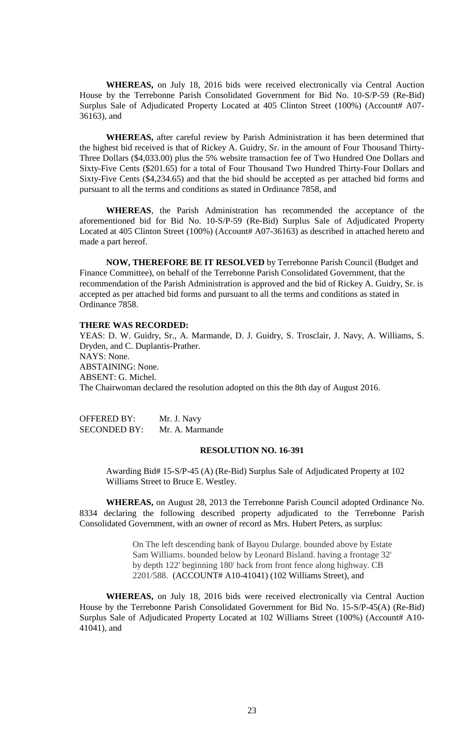**WHEREAS,** on July 18, 2016 bids were received electronically via Central Auction House by the Terrebonne Parish Consolidated Government for Bid No. 10-S/P-59 (Re-Bid) Surplus Sale of Adjudicated Property Located at 405 Clinton Street (100%) (Account# A07-36163), and

**WHEREAS,** after careful review by Parish Administration it has been determined that the highest bid received is that of Rickey A. Guidry, Sr. in the amount of Four Thousand Thirty-Three Dollars (\$4,033.00) plus the 5% website transaction fee of Two Hundred One Dollars and Sixty-Five Cents (\$201.65) for a total of Four Thousand Two Hundred Thirty-Four Dollars and Sixty-Five Cents (\$4,234.65) and that the bid should be accepted as per attached bid forms and pursuant to all the terms and conditions as stated in Ordinance 7858, and

**WHEREAS**, the Parish Administration has recommended the acceptance of the aforementioned bid for Bid No. 10-S/P-59 (Re-Bid) Surplus Sale of Adjudicated Property Located at 405 Clinton Street (100%) (Account# A07-36163) as described in attached hereto and made a part hereof.

**NOW, THEREFORE BE IT RESOLVED** by Terrebonne Parish Council (Budget and Finance Committee), on behalf of the Terrebonne Parish Consolidated Government, that the recommendation of the Parish Administration is approved and the bid of Rickey A. Guidry, Sr. is accepted as per attached bid forms and pursuant to all the terms and conditions as stated in Ordinance 7858.

# **THERE WAS RECORDED:**

YEAS: D. W. Guidry, Sr., A. Marmande, D. J. Guidry, S. Trosclair, J. Navy, A. Williams, S. Dryden, and C. Duplantis-Prather. NAYS: None. ABSTAINING: None. ABSENT: G. Michel. The Chairwoman declared the resolution adopted on this the 8th day of August 2016.

| <b>OFFERED BY:</b>  | Mr. J. Navy     |
|---------------------|-----------------|
| <b>SECONDED BY:</b> | Mr. A. Marmande |

### **RESOLUTION NO. 16-391**

Awarding Bid# 15-S/P-45 (A) (Re-Bid) Surplus Sale of Adjudicated Property at 102 Williams Street to Bruce E. Westley.

**WHEREAS,** on August 28, 2013 the Terrebonne Parish Council adopted Ordinance No. 8334 declaring the following described property adjudicated to the Terrebonne Parish Consolidated Government, with an owner of record as Mrs. Hubert Peters, as surplus:

> On The left descending bank of Bayou Dularge. bounded above by Estate Sam Williams. bounded below by Leonard Bisland. having a frontage 32' by depth 122' beginning 180' back from front fence along highway. CB 2201/588. (ACCOUNT# A10-41041) (102 Williams Street), and

**WHEREAS,** on July 18, 2016 bids were received electronically via Central Auction House by the Terrebonne Parish Consolidated Government for Bid No. 15-S/P-45(A) (Re-Bid) Surplus Sale of Adjudicated Property Located at 102 Williams Street (100%) (Account# A10-41041), and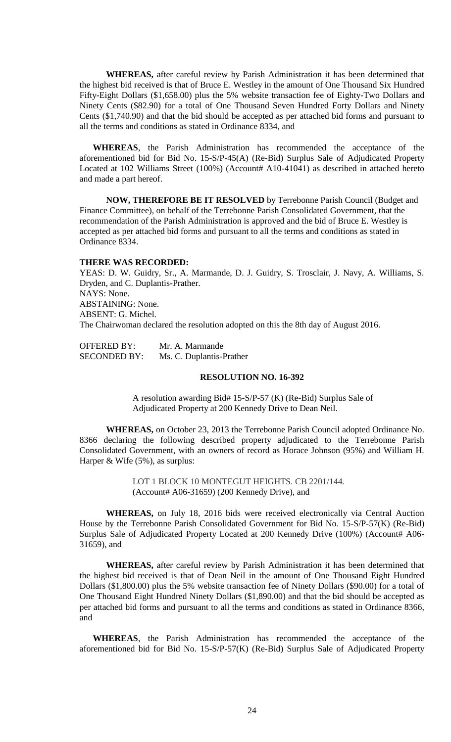**WHEREAS,** after careful review by Parish Administration it has been determined that the highest bid received is that of Bruce E. Westley in the amount of One Thousand Six Hundred Fifty-Eight Dollars (\$1,658.00) plus the 5% website transaction fee of Eighty-Two Dollars and Ninety Cents (\$82.90) for a total of One Thousand Seven Hundred Forty Dollars and Ninety Cents (\$1,740.90) and that the bid should be accepted as per attached bid forms and pursuant to all the terms and conditions as stated in Ordinance 8334, and

**WHEREAS**, the Parish Administration has recommended the acceptance of the aforementioned bid for Bid No. 15-S/P-45(A) (Re-Bid) Surplus Sale of Adjudicated Property Located at 102 Williams Street (100%) (Account# A10-41041) as described in attached hereto and made a part hereof.

**NOW, THEREFORE BE IT RESOLVED** by Terrebonne Parish Council (Budget and Finance Committee), on behalf of the Terrebonne Parish Consolidated Government, that the recommendation of the Parish Administration is approved and the bid of Bruce E. Westley is accepted as per attached bid forms and pursuant to all the terms and conditions as stated in Ordinance 8334.

### **THERE WAS RECORDED:**

YEAS: D. W. Guidry, Sr., A. Marmande, D. J. Guidry, S. Trosclair, J. Navy, A. Williams, S. Dryden, and C. Duplantis-Prather. NAYS: None. ABSTAINING: None. ABSENT: G. Michel. The Chairwoman declared the resolution adopted on this the 8th day of August 2016.

| <b>OFFERED BY:</b>  | Mr. A. Marmande          |
|---------------------|--------------------------|
| <b>SECONDED BY:</b> | Ms. C. Duplantis-Prather |

### **RESOLUTION NO. 16-392**

A resolution awarding Bid# 15-S/P-57 (K) (Re-Bid) Surplus Sale of Adjudicated Property at 200 Kennedy Drive to Dean Neil.

**WHEREAS,** on October 23, 2013 the Terrebonne Parish Council adopted Ordinance No. 8366 declaring the following described property adjudicated to the Terrebonne Parish Consolidated Government, with an owners of record as Horace Johnson (95%) and William H. Harper & Wife (5%), as surplus:

> LOT 1 BLOCK 10 MONTEGUT HEIGHTS. CB 2201/144. (Account# A06-31659) (200 Kennedy Drive), and

**WHEREAS,** on July 18, 2016 bids were received electronically via Central Auction House by the Terrebonne Parish Consolidated Government for Bid No. 15-S/P-57(K) (Re-Bid) Surplus Sale of Adjudicated Property Located at 200 Kennedy Drive (100%) (Account# A06-31659), and

**WHEREAS,** after careful review by Parish Administration it has been determined that the highest bid received is that of Dean Neil in the amount of One Thousand Eight Hundred Dollars (\$1,800.00) plus the 5% website transaction fee of Ninety Dollars (\$90.00) for a total of One Thousand Eight Hundred Ninety Dollars (\$1,890.00) and that the bid should be accepted as per attached bid forms and pursuant to all the terms and conditions as stated in Ordinance 8366, and

**WHEREAS**, the Parish Administration has recommended the acceptance of the aforementioned bid for Bid No. 15-S/P-57(K) (Re-Bid) Surplus Sale of Adjudicated Property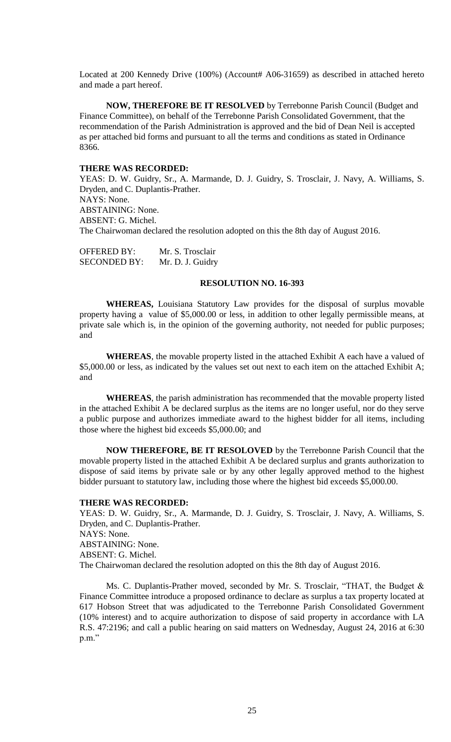Located at 200 Kennedy Drive (100%) (Account# A06-31659) as described in attached hereto and made a part hereof.

**NOW, THEREFORE BE IT RESOLVED** by Terrebonne Parish Council (Budget and Finance Committee), on behalf of the Terrebonne Parish Consolidated Government, that the recommendation of the Parish Administration is approved and the bid of Dean Neil is accepted as per attached bid forms and pursuant to all the terms and conditions as stated in Ordinance 8366.

### **THERE WAS RECORDED:**

YEAS: D. W. Guidry, Sr., A. Marmande, D. J. Guidry, S. Trosclair, J. Navy, A. Williams, S. Dryden, and C. Duplantis-Prather. NAYS: None. ABSTAINING: None. ABSENT: G. Michel. The Chairwoman declared the resolution adopted on this the 8th day of August 2016.

| <b>OFFERED BY:</b>  | Mr. S. Trosclair |
|---------------------|------------------|
| <b>SECONDED BY:</b> | Mr. D. J. Guidry |

### **RESOLUTION NO. 16-393**

**WHEREAS,** Louisiana Statutory Law provides for the disposal of surplus movable property having a value of \$5,000.00 or less, in addition to other legally permissible means, at private sale which is, in the opinion of the governing authority, not needed for public purposes; and

**WHEREAS**, the movable property listed in the attached Exhibit A each have a valued of \$5,000.00 or less, as indicated by the values set out next to each item on the attached Exhibit A; and

**WHEREAS**, the parish administration has recommended that the movable property listed in the attached Exhibit A be declared surplus as the items are no longer useful, nor do they serve a public purpose and authorizes immediate award to the highest bidder for all items, including those where the highest bid exceeds \$5,000.00; and

**NOW THEREFORE, BE IT RESOLOVED** by the Terrebonne Parish Council that the movable property listed in the attached Exhibit A be declared surplus and grants authorization to dispose of said items by private sale or by any other legally approved method to the highest bidder pursuant to statutory law, including those where the highest bid exceeds \$5,000.00.

#### **THERE WAS RECORDED:**

YEAS: D. W. Guidry, Sr., A. Marmande, D. J. Guidry, S. Trosclair, J. Navy, A. Williams, S. Dryden, and C. Duplantis-Prather. NAYS: None. ABSTAINING: None. ABSENT: G. Michel. The Chairwoman declared the resolution adopted on this the 8th day of August 2016.

Ms. C. Duplantis-Prather moved, seconded by Mr. S. Trosclair, "THAT, the Budget & Finance Committee introduce a proposed ordinance to declare as surplus a tax property located at 617 Hobson Street that was adjudicated to the Terrebonne Parish Consolidated Government (10% interest) and to acquire authorization to dispose of said property in accordance with LA R.S. 47:2196; and call a public hearing on said matters on Wednesday, August 24, 2016 at 6:30 p.m."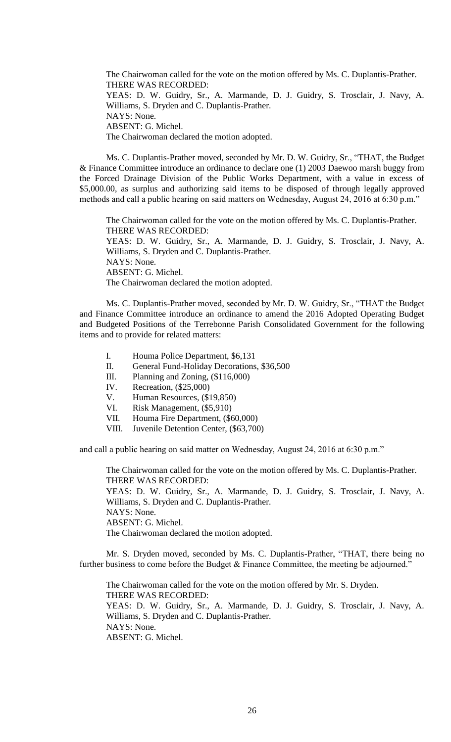The Chairwoman called for the vote on the motion offered by Ms. C. Duplantis-Prather. THERE WAS RECORDED: YEAS: D. W. Guidry, Sr., A. Marmande, D. J. Guidry, S. Trosclair, J. Navy, A. Williams, S. Dryden and C. Duplantis-Prather. NAYS: None. ABSENT: G. Michel. The Chairwoman declared the motion adopted.

Ms. C. Duplantis-Prather moved, seconded by Mr. D. W. Guidry, Sr., "THAT, the Budget & Finance Committee introduce an ordinance to declare one (1) 2003 Daewoo marsh buggy from the Forced Drainage Division of the Public Works Department, with a value in excess of \$5,000.00, as surplus and authorizing said items to be disposed of through legally approved methods and call a public hearing on said matters on Wednesday, August 24, 2016 at 6:30 p.m."

The Chairwoman called for the vote on the motion offered by Ms. C. Duplantis-Prather. THERE WAS RECORDED: YEAS: D. W. Guidry, Sr., A. Marmande, D. J. Guidry, S. Trosclair, J. Navy, A. Williams, S. Dryden and C. Duplantis-Prather. NAYS: None. ABSENT: G. Michel. The Chairwoman declared the motion adopted.

Ms. C. Duplantis-Prather moved, seconded by Mr. D. W. Guidry, Sr., "THAT the Budget and Finance Committee introduce an ordinance to amend the 2016 Adopted Operating Budget and Budgeted Positions of the Terrebonne Parish Consolidated Government for the following items and to provide for related matters:

- I. Houma Police Department, \$6,131
- II. General Fund-Holiday Decorations, \$36,500
- III. Planning and Zoning, (\$116,000)
- IV. Recreation, (\$25,000)
- V. Human Resources, (\$19,850)
- VI. Risk Management, (\$5,910)
- VII. Houma Fire Department, (\$60,000)
- VIII. Juvenile Detention Center, (\$63,700)

and call a public hearing on said matter on Wednesday, August 24, 2016 at 6:30 p.m."

The Chairwoman called for the vote on the motion offered by Ms. C. Duplantis-Prather. THERE WAS RECORDED:

YEAS: D. W. Guidry, Sr., A. Marmande, D. J. Guidry, S. Trosclair, J. Navy, A. Williams, S. Dryden and C. Duplantis-Prather. NAYS: None.

ABSENT: G. Michel.

The Chairwoman declared the motion adopted.

Mr. S. Dryden moved, seconded by Ms. C. Duplantis-Prather, "THAT, there being no further business to come before the Budget & Finance Committee, the meeting be adjourned."

The Chairwoman called for the vote on the motion offered by Mr. S. Dryden. THERE WAS RECORDED: YEAS: D. W. Guidry, Sr., A. Marmande, D. J. Guidry, S. Trosclair, J. Navy, A. Williams, S. Dryden and C. Duplantis-Prather. NAYS: None. ABSENT: G. Michel.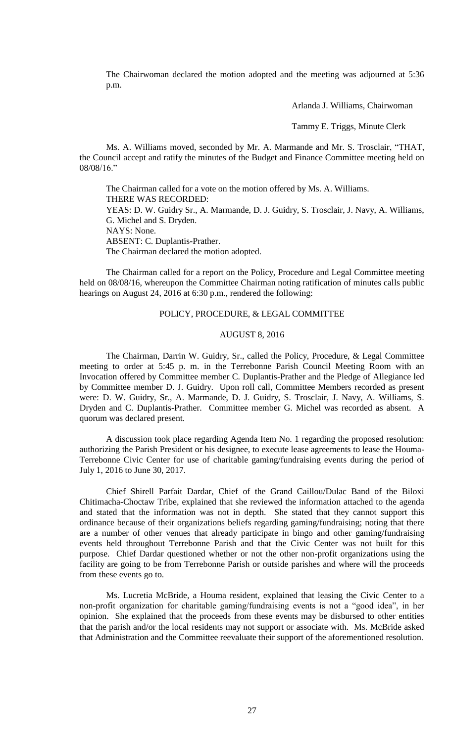The Chairwoman declared the motion adopted and the meeting was adjourned at 5:36 p.m.

Arlanda J. Williams, Chairwoman

Tammy E. Triggs, Minute Clerk

Ms. A. Williams moved, seconded by Mr. A. Marmande and Mr. S. Trosclair, "THAT, the Council accept and ratify the minutes of the Budget and Finance Committee meeting held on 08/08/16."

The Chairman called for a vote on the motion offered by Ms. A. Williams. THERE WAS RECORDED: YEAS: D. W. Guidry Sr., A. Marmande, D. J. Guidry, S. Trosclair, J. Navy, A. Williams, G. Michel and S. Dryden. NAYS: None. ABSENT: C. Duplantis-Prather. The Chairman declared the motion adopted.

The Chairman called for a report on the Policy, Procedure and Legal Committee meeting held on 08/08/16, whereupon the Committee Chairman noting ratification of minutes calls public hearings on August 24, 2016 at 6:30 p.m., rendered the following:

### POLICY, PROCEDURE, & LEGAL COMMITTEE

## AUGUST 8, 2016

The Chairman, Darrin W. Guidry, Sr., called the Policy, Procedure, & Legal Committee meeting to order at 5:45 p. m. in the Terrebonne Parish Council Meeting Room with an Invocation offered by Committee member C. Duplantis-Prather and the Pledge of Allegiance led by Committee member D. J. Guidry. Upon roll call, Committee Members recorded as present were: D. W. Guidry, Sr., A. Marmande, D. J. Guidry, S. Trosclair, J. Navy, A. Williams, S. Dryden and C. Duplantis-Prather. Committee member G. Michel was recorded as absent. A quorum was declared present.

A discussion took place regarding Agenda Item No. 1 regarding the proposed resolution: authorizing the Parish President or his designee, to execute lease agreements to lease the Houma-Terrebonne Civic Center for use of charitable gaming/fundraising events during the period of July 1, 2016 to June 30, 2017.

Chief Shirell Parfait Dardar, Chief of the Grand Caillou/Dulac Band of the Biloxi Chitimacha-Choctaw Tribe, explained that she reviewed the information attached to the agenda and stated that the information was not in depth. She stated that they cannot support this ordinance because of their organizations beliefs regarding gaming/fundraising; noting that there are a number of other venues that already participate in bingo and other gaming/fundraising events held throughout Terrebonne Parish and that the Civic Center was not built for this purpose. Chief Dardar questioned whether or not the other non-profit organizations using the facility are going to be from Terrebonne Parish or outside parishes and where will the proceeds from these events go to.

Ms. Lucretia McBride, a Houma resident, explained that leasing the Civic Center to a non-profit organization for charitable gaming/fundraising events is not a "good idea", in her opinion. She explained that the proceeds from these events may be disbursed to other entities that the parish and/or the local residents may not support or associate with. Ms. McBride asked that Administration and the Committee reevaluate their support of the aforementioned resolution.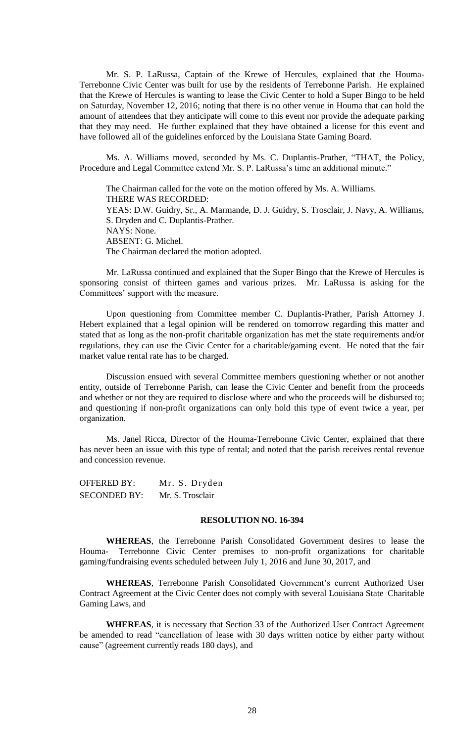Mr. S. P. LaRussa, Captain of the Krewe of Hercules, explained that the Houma-Terrebonne Civic Center was built for use by the residents of Terrebonne Parish. He explained that the Krewe of Hercules is wanting to lease the Civic Center to hold a Super Bingo to be held on Saturday, November 12, 2016; noting that there is no other venue in Houma that can hold the amount of attendees that they anticipate will come to this event nor provide the adequate parking that they may need. He further explained that they have obtained a license for this event and have followed all of the guidelines enforced by the Louisiana State Gaming Board.

Ms. A. Williams moved, seconded by Ms. C. Duplantis-Prather, "THAT, the Policy, Procedure and Legal Committee extend Mr. S. P. LaRussa's time an additional minute."

The Chairman called for the vote on the motion offered by Ms. A. Williams. THERE WAS RECORDED: YEAS: D.W. Guidry, Sr., A. Marmande, D. J. Guidry, S. Trosclair, J. Navy, A. Williams, S. Dryden and C. Duplantis-Prather. NAYS: None. ABSENT: G. Michel. The Chairman declared the motion adopted.

Mr. LaRussa continued and explained that the Super Bingo that the Krewe of Hercules is sponsoring consist of thirteen games and various prizes. Mr. LaRussa is asking for the Committees' support with the measure.

Upon questioning from Committee member C. Duplantis-Prather, Parish Attorney J. Hebert explained that a legal opinion will be rendered on tomorrow regarding this matter and stated that as long as the non-profit charitable organization has met the state requirements and/or regulations, they can use the Civic Center for a charitable/gaming event. He noted that the fair market value rental rate has to be charged.

Discussion ensued with several Committee members questioning whether or not another entity, outside of Terrebonne Parish, can lease the Civic Center and benefit from the proceeds and whether or not they are required to disclose where and who the proceeds will be disbursed to; and questioning if non-profit organizations can only hold this type of event twice a year, per organization.

Ms. Janel Ricca, Director of the Houma-Terrebonne Civic Center, explained that there has never been an issue with this type of rental; and noted that the parish receives rental revenue and concession revenue.

OFFERED BY: Mr. S. Dryden SECONDED BY: Mr. S. Trosclair

#### **RESOLUTION NO. 16-394**

**WHEREAS**, the Terrebonne Parish Consolidated Government desires to lease the Houma- Terrebonne Civic Center premises to non-profit organizations for charitable gaming/fundraising events scheduled between July 1, 2016 and June 30, 2017, and

**WHEREAS**, Terrebonne Parish Consolidated Government's current Authorized User Contract Agreement at the Civic Center does not comply with several Louisiana State Charitable Gaming Laws, and

**WHEREAS**, it is necessary that Section 33 of the Authorized User Contract Agreement be amended to read "cancellation of lease with 30 days written notice by either party without cause" (agreement currently reads 180 days), and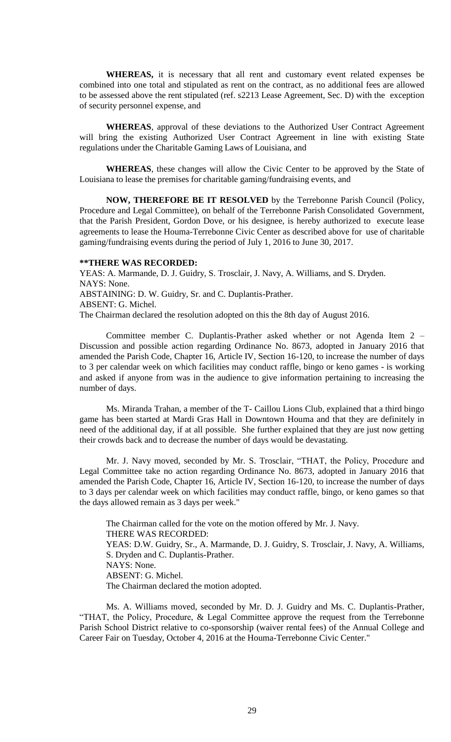**WHEREAS,** it is necessary that all rent and customary event related expenses be combined into one total and stipulated as rent on the contract, as no additional fees are allowed to be assessed above the rent stipulated (ref. s2213 Lease Agreement, Sec. D) with the exception of security personnel expense, and

**WHEREAS**, approval of these deviations to the Authorized User Contract Agreement will bring the existing Authorized User Contract Agreement in line with existing State regulations under the Charitable Gaming Laws of Louisiana, and

**WHEREAS**, these changes will allow the Civic Center to be approved by the State of Louisiana to lease the premises for charitable gaming/fundraising events, and

**NOW, THEREFORE BE IT RESOLVED** by the Terrebonne Parish Council (Policy, Procedure and Legal Committee), on behalf of the Terrebonne Parish Consolidated Government, that the Parish President, Gordon Dove, or his designee, is hereby authorized to execute lease agreements to lease the Houma-Terrebonne Civic Center as described above for use of charitable gaming/fundraising events during the period of July 1, 2016 to June 30, 2017.

#### **\*\*THERE WAS RECORDED:**

YEAS: A. Marmande, D. J. Guidry, S. Trosclair, J. Navy, A. Williams, and S. Dryden. NAYS: None. ABSTAINING: D. W. Guidry, Sr. and C. Duplantis-Prather. ABSENT: G. Michel. The Chairman declared the resolution adopted on this the 8th day of August 2016.

Committee member C. Duplantis-Prather asked whether or not Agenda Item 2 – Discussion and possible action regarding Ordinance No. 8673, adopted in January 2016 that amended the Parish Code, Chapter 16, Article IV, Section 16-120, to increase the number of days to 3 per calendar week on which facilities may conduct raffle, bingo or keno games - is working and asked if anyone from was in the audience to give information pertaining to increasing the number of days.

Ms. Miranda Trahan, a member of the T- Caillou Lions Club, explained that a third bingo game has been started at Mardi Gras Hall in Downtown Houma and that they are definitely in need of the additional day, if at all possible. She further explained that they are just now getting their crowds back and to decrease the number of days would be devastating.

Mr. J. Navy moved, seconded by Mr. S. Trosclair, "THAT, the Policy, Procedure and Legal Committee take no action regarding Ordinance No. 8673, adopted in January 2016 that amended the Parish Code, Chapter 16, Article IV, Section 16-120, to increase the number of days to 3 days per calendar week on which facilities may conduct raffle, bingo, or keno games so that the days allowed remain as 3 days per week."

The Chairman called for the vote on the motion offered by Mr. J. Navy. THERE WAS RECORDED: YEAS: D.W. Guidry, Sr., A. Marmande, D. J. Guidry, S. Trosclair, J. Navy, A. Williams, S. Dryden and C. Duplantis-Prather. NAYS: None. ABSENT: G. Michel. The Chairman declared the motion adopted.

Ms. A. Williams moved, seconded by Mr. D. J. Guidry and Ms. C. Duplantis-Prather, "THAT, the Policy, Procedure, & Legal Committee approve the request from the Terrebonne Parish School District relative to co-sponsorship (waiver rental fees) of the Annual College and Career Fair on Tuesday, October 4, 2016 at the Houma-Terrebonne Civic Center."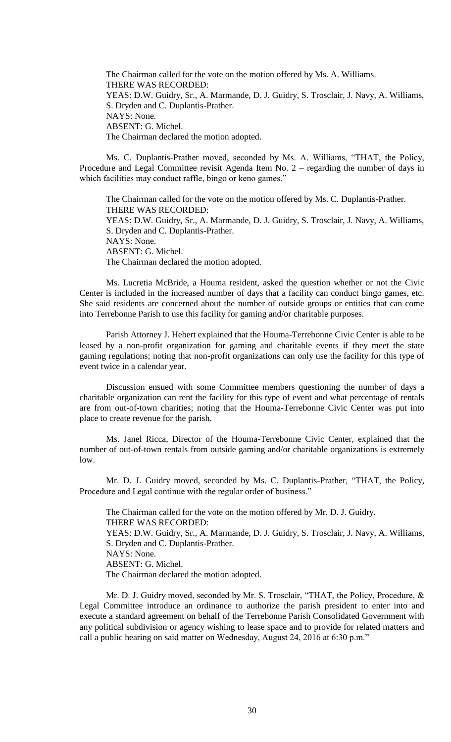The Chairman called for the vote on the motion offered by Ms. A. Williams. THERE WAS RECORDED: YEAS: D.W. Guidry, Sr., A. Marmande, D. J. Guidry, S. Trosclair, J. Navy, A. Williams, S. Dryden and C. Duplantis-Prather. NAYS: None. ABSENT: G. Michel. The Chairman declared the motion adopted.

Ms. C. Duplantis-Prather moved, seconded by Ms. A. Williams, "THAT, the Policy, Procedure and Legal Committee revisit Agenda Item No. 2 – regarding the number of days in which facilities may conduct raffle, bingo or keno games."

The Chairman called for the vote on the motion offered by Ms. C. Duplantis-Prather. THERE WAS RECORDED: YEAS: D.W. Guidry, Sr., A. Marmande, D. J. Guidry, S. Trosclair, J. Navy, A. Williams, S. Dryden and C. Duplantis-Prather. NAYS: None. ABSENT: G. Michel. The Chairman declared the motion adopted.

Ms. Lucretia McBride, a Houma resident, asked the question whether or not the Civic Center is included in the increased number of days that a facility can conduct bingo games, etc. She said residents are concerned about the number of outside groups or entities that can come into Terrebonne Parish to use this facility for gaming and/or charitable purposes.

Parish Attorney J. Hebert explained that the Houma-Terrebonne Civic Center is able to be leased by a non-profit organization for gaming and charitable events if they meet the state gaming regulations; noting that non-profit organizations can only use the facility for this type of event twice in a calendar year.

Discussion ensued with some Committee members questioning the number of days a charitable organization can rent the facility for this type of event and what percentage of rentals are from out-of-town charities; noting that the Houma-Terrebonne Civic Center was put into place to create revenue for the parish.

Ms. Janel Ricca, Director of the Houma-Terrebonne Civic Center, explained that the number of out-of-town rentals from outside gaming and/or charitable organizations is extremely low.

Mr. D. J. Guidry moved, seconded by Ms. C. Duplantis-Prather, "THAT, the Policy, Procedure and Legal continue with the regular order of business."

The Chairman called for the vote on the motion offered by Mr. D. J. Guidry. THERE WAS RECORDED: YEAS: D.W. Guidry, Sr., A. Marmande, D. J. Guidry, S. Trosclair, J. Navy, A. Williams, S. Dryden and C. Duplantis-Prather. NAYS: None. ABSENT: G. Michel. The Chairman declared the motion adopted.

Mr. D. J. Guidry moved, seconded by Mr. S. Trosclair, "THAT, the Policy, Procedure, & Legal Committee introduce an ordinance to authorize the parish president to enter into and execute a standard agreement on behalf of the Terrebonne Parish Consolidated Government with any political subdivision or agency wishing to lease space and to provide for related matters and call a public hearing on said matter on Wednesday, August 24, 2016 at 6:30 p.m."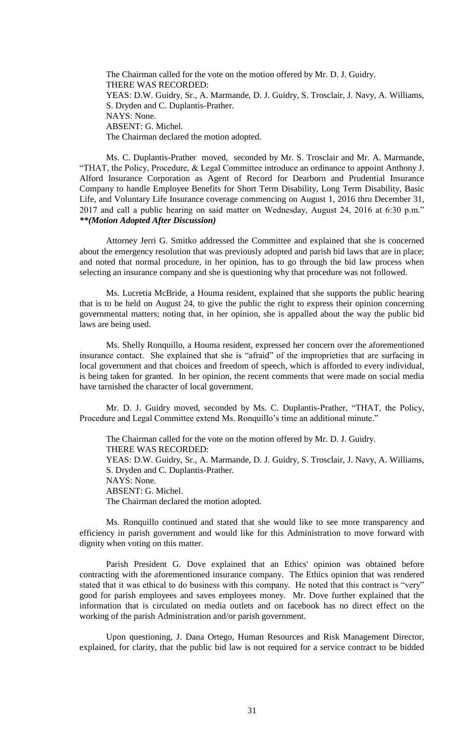The Chairman called for the vote on the motion offered by Mr. D. J. Guidry. THERE WAS RECORDED: YEAS: D.W. Guidry, Sr., A. Marmande, D. J. Guidry, S. Trosclair, J. Navy, A. Williams, S. Dryden and C. Duplantis-Prather. NAYS: None. ABSENT: G. Michel. The Chairman declared the motion adopted.

Ms. C. Duplantis-Prather moved, seconded by Mr. S. Trosclair and Mr. A. Marmande, "THAT, the Policy, Procedure, & Legal Committee introduce an ordinance to appoint Anthony J. Alford Insurance Corporation as Agent of Record for Dearborn and Prudential Insurance Company to handle Employee Benefits for Short Term Disability, Long Term Disability, Basic Life, and Voluntary Life Insurance coverage commencing on August 1, 2016 thru December 31, 2017 and call a public hearing on said matter on Wednesday, August 24, 2016 at 6:30 p.m." *\*\*(Motion Adopted After Discussion)*

Attorney Jerri G. Smitko addressed the Committee and explained that she is concerned about the emergency resolution that was previously adopted and parish bid laws that are in place; and noted that normal procedure, in her opinion, has to go through the bid law process when selecting an insurance company and she is questioning why that procedure was not followed.

Ms. Lucretia McBride, a Houma resident, explained that she supports the public hearing that is to be held on August 24, to give the public the right to express their opinion concerning governmental matters; noting that, in her opinion, she is appalled about the way the public bid laws are being used.

Ms. Shelly Ronquillo, a Houma resident, expressed her concern over the aforementioned insurance contact. She explained that she is "afraid" of the improprieties that are surfacing in local government and that choices and freedom of speech, which is afforded to every individual, is being taken for granted. In her opinion, the recent comments that were made on social media have tarnished the character of local government.

Mr. D. J. Guidry moved, seconded by Ms. C. Duplantis-Prather, "THAT, the Policy, Procedure and Legal Committee extend Ms. Ronquillo's time an additional minute."

The Chairman called for the vote on the motion offered by Mr. D. J. Guidry. THERE WAS RECORDED: YEAS: D.W. Guidry, Sr., A. Marmande, D. J. Guidry, S. Trosclair, J. Navy, A. Williams, S. Dryden and C. Duplantis-Prather. NAYS: None. ABSENT: G. Michel. The Chairman declared the motion adopted.

Ms. Ronquillo continued and stated that she would like to see more transparency and efficiency in parish government and would like for this Administration to move forward with dignity when voting on this matter.

Parish President G. Dove explained that an Ethics' opinion was obtained before contracting with the aforementioned insurance company. The Ethics opinion that was rendered stated that it was ethical to do business with this company. He noted that this contract is "very" good for parish employees and saves employees money. Mr. Dove further explained that the information that is circulated on media outlets and on facebook has no direct effect on the working of the parish Administration and/or parish government.

Upon questioning, J. Dana Ortego, Human Resources and Risk Management Director, explained, for clarity, that the public bid law is not required for a service contract to be bidded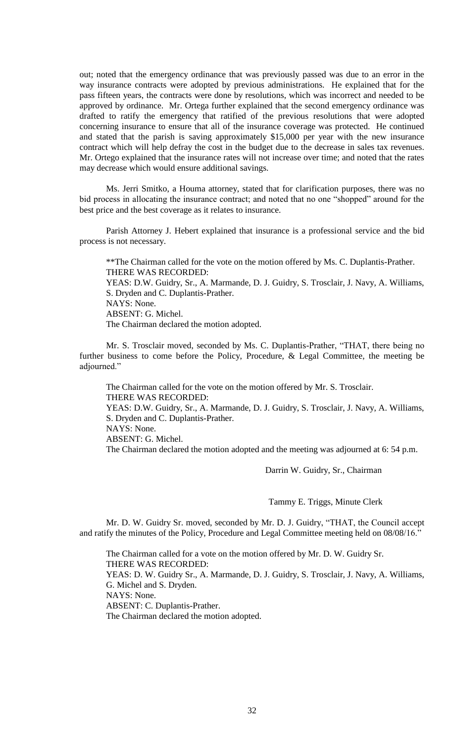out; noted that the emergency ordinance that was previously passed was due to an error in the way insurance contracts were adopted by previous administrations. He explained that for the pass fifteen years, the contracts were done by resolutions, which was incorrect and needed to be approved by ordinance. Mr. Ortega further explained that the second emergency ordinance was drafted to ratify the emergency that ratified of the previous resolutions that were adopted concerning insurance to ensure that all of the insurance coverage was protected. He continued and stated that the parish is saving approximately \$15,000 per year with the new insurance contract which will help defray the cost in the budget due to the decrease in sales tax revenues. Mr. Ortego explained that the insurance rates will not increase over time; and noted that the rates may decrease which would ensure additional savings.

Ms. Jerri Smitko, a Houma attorney, stated that for clarification purposes, there was no bid process in allocating the insurance contract; and noted that no one "shopped" around for the best price and the best coverage as it relates to insurance.

Parish Attorney J. Hebert explained that insurance is a professional service and the bid process is not necessary.

\*\*The Chairman called for the vote on the motion offered by Ms. C. Duplantis-Prather. THERE WAS RECORDED: YEAS: D.W. Guidry, Sr., A. Marmande, D. J. Guidry, S. Trosclair, J. Navy, A. Williams, S. Dryden and C. Duplantis-Prather. NAYS: None. ABSENT: G. Michel. The Chairman declared the motion adopted.

Mr. S. Trosclair moved, seconded by Ms. C. Duplantis-Prather, "THAT, there being no further business to come before the Policy, Procedure, & Legal Committee, the meeting be adjourned."

The Chairman called for the vote on the motion offered by Mr. S. Trosclair. THERE WAS RECORDED: YEAS: D.W. Guidry, Sr., A. Marmande, D. J. Guidry, S. Trosclair, J. Navy, A. Williams, S. Dryden and C. Duplantis-Prather. NAYS: None. ABSENT: G. Michel. The Chairman declared the motion adopted and the meeting was adjourned at 6: 54 p.m.

Darrin W. Guidry, Sr., Chairman

Tammy E. Triggs, Minute Clerk

Mr. D. W. Guidry Sr. moved, seconded by Mr. D. J. Guidry, "THAT, the Council accept and ratify the minutes of the Policy, Procedure and Legal Committee meeting held on 08/08/16."

The Chairman called for a vote on the motion offered by Mr. D. W. Guidry Sr. THERE WAS RECORDED: YEAS: D. W. Guidry Sr., A. Marmande, D. J. Guidry, S. Trosclair, J. Navy, A. Williams, G. Michel and S. Dryden. NAYS: None. ABSENT: C. Duplantis-Prather. The Chairman declared the motion adopted.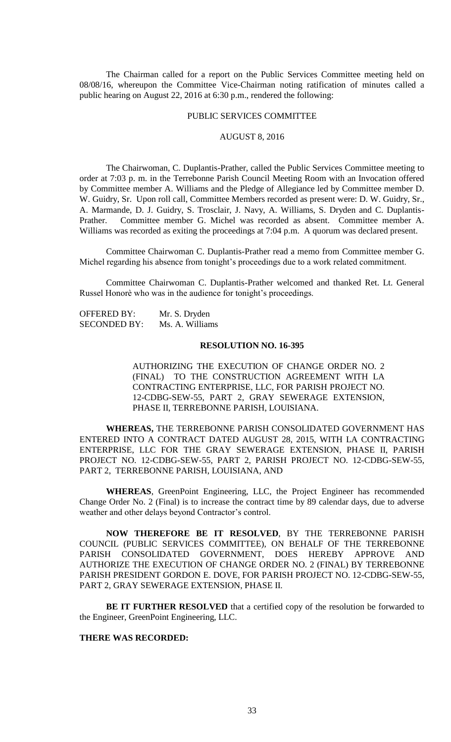The Chairman called for a report on the Public Services Committee meeting held on 08/08/16, whereupon the Committee Vice-Chairman noting ratification of minutes called a public hearing on August 22, 2016 at 6:30 p.m., rendered the following:

#### PUBLIC SERVICES COMMITTEE

## AUGUST 8, 2016

The Chairwoman, C. Duplantis-Prather, called the Public Services Committee meeting to order at 7:03 p. m. in the Terrebonne Parish Council Meeting Room with an Invocation offered by Committee member A. Williams and the Pledge of Allegiance led by Committee member D. W. Guidry, Sr. Upon roll call, Committee Members recorded as present were: D. W. Guidry, Sr., A. Marmande, D. J. Guidry, S. Trosclair, J. Navy, A. Williams, S. Dryden and C. Duplantis-Prather. Committee member G. Michel was recorded as absent. Committee member A. Williams was recorded as exiting the proceedings at 7:04 p.m. A quorum was declared present.

Committee Chairwoman C. Duplantis-Prather read a memo from Committee member G. Michel regarding his absence from tonight's proceedings due to a work related commitment.

Committee Chairwoman C. Duplantis-Prather welcomed and thanked Ret. Lt. General Russel Honorè who was in the audience for tonight's proceedings.

| <b>OFFERED BY:</b>  | Mr. S. Dryden   |
|---------------------|-----------------|
| <b>SECONDED BY:</b> | Ms. A. Williams |

### **RESOLUTION NO. 16-395**

AUTHORIZING THE EXECUTION OF CHANGE ORDER NO. 2 (FINAL) TO THE CONSTRUCTION AGREEMENT WITH LA CONTRACTING ENTERPRISE, LLC, FOR PARISH PROJECT NO. 12-CDBG-SEW-55, PART 2, GRAY SEWERAGE EXTENSION, PHASE II, TERREBONNE PARISH, LOUISIANA.

**WHEREAS,** THE TERREBONNE PARISH CONSOLIDATED GOVERNMENT HAS ENTERED INTO A CONTRACT DATED AUGUST 28, 2015, WITH LA CONTRACTING ENTERPRISE, LLC FOR THE GRAY SEWERAGE EXTENSION, PHASE II, PARISH PROJECT NO. 12-CDBG-SEW-55, PART 2, PARISH PROJECT NO. 12-CDBG-SEW-55, PART 2, TERREBONNE PARISH, LOUISIANA, AND

**WHEREAS**, GreenPoint Engineering, LLC, the Project Engineer has recommended Change Order No. 2 (Final) is to increase the contract time by 89 calendar days, due to adverse weather and other delays beyond Contractor's control.

**NOW THEREFORE BE IT RESOLVED**, BY THE TERREBONNE PARISH COUNCIL (PUBLIC SERVICES COMMITTEE), ON BEHALF OF THE TERREBONNE PARISH CONSOLIDATED GOVERNMENT, DOES HEREBY APPROVE AND AUTHORIZE THE EXECUTION OF CHANGE ORDER NO. 2 (FINAL) BY TERREBONNE PARISH PRESIDENT GORDON E. DOVE, FOR PARISH PROJECT NO. 12-CDBG-SEW-55, PART 2, GRAY SEWERAGE EXTENSION, PHASE II.

**BE IT FURTHER RESOLVED** that a certified copy of the resolution be forwarded to the Engineer, GreenPoint Engineering, LLC.

#### **THERE WAS RECORDED:**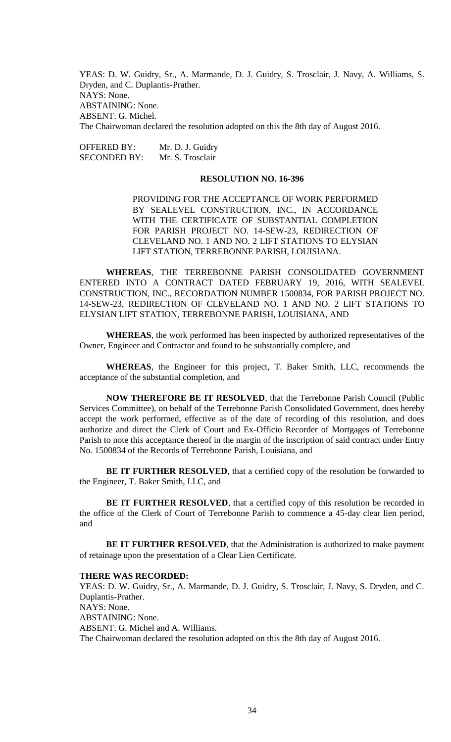YEAS: D. W. Guidry, Sr., A. Marmande, D. J. Guidry, S. Trosclair, J. Navy, A. Williams, S. Dryden, and C. Duplantis-Prather. NAYS: None. ABSTAINING: None. ABSENT: G. Michel. The Chairwoman declared the resolution adopted on this the 8th day of August 2016.

OFFERED BY: Mr. D. J. Guidry SECONDED BY: Mr. S. Trosclair

### **RESOLUTION NO. 16-396**

PROVIDING FOR THE ACCEPTANCE OF WORK PERFORMED BY SEALEVEL CONSTRUCTION, INC., IN ACCORDANCE WITH THE CERTIFICATE OF SUBSTANTIAL COMPLETION FOR PARISH PROJECT NO. 14-SEW-23, REDIRECTION OF CLEVELAND NO. 1 AND NO. 2 LIFT STATIONS TO ELYSIAN LIFT STATION, TERREBONNE PARISH, LOUISIANA.

**WHEREAS**, THE TERREBONNE PARISH CONSOLIDATED GOVERNMENT ENTERED INTO A CONTRACT DATED FEBRUARY 19, 2016, WITH SEALEVEL CONSTRUCTION, INC., RECORDATION NUMBER 1500834, FOR PARISH PROJECT NO. 14-SEW-23, REDIRECTION OF CLEVELAND NO. 1 AND NO. 2 LIFT STATIONS TO ELYSIAN LIFT STATION, TERREBONNE PARISH, LOUISIANA, AND

**WHEREAS**, the work performed has been inspected by authorized representatives of the Owner, Engineer and Contractor and found to be substantially complete, and

**WHEREAS**, the Engineer for this project, T. Baker Smith, LLC, recommends the acceptance of the substantial completion, and

**NOW THEREFORE BE IT RESOLVED**, that the Terrebonne Parish Council (Public Services Committee), on behalf of the Terrebonne Parish Consolidated Government, does hereby accept the work performed, effective as of the date of recording of this resolution, and does authorize and direct the Clerk of Court and Ex-Officio Recorder of Mortgages of Terrebonne Parish to note this acceptance thereof in the margin of the inscription of said contract under Entry No. 1500834 of the Records of Terrebonne Parish, Louisiana, and

BE IT FURTHER RESOLVED, that a certified copy of the resolution be forwarded to the Engineer, T. Baker Smith, LLC, and

BE IT FURTHER RESOLVED, that a certified copy of this resolution be recorded in the office of the Clerk of Court of Terrebonne Parish to commence a 45-day clear lien period, and

**BE IT FURTHER RESOLVED**, that the Administration is authorized to make payment of retainage upon the presentation of a Clear Lien Certificate.

#### **THERE WAS RECORDED:**

YEAS: D. W. Guidry, Sr., A. Marmande, D. J. Guidry, S. Trosclair, J. Navy, S. Dryden, and C. Duplantis-Prather. NAYS: None. ABSTAINING: None. ABSENT: G. Michel and A. Williams. The Chairwoman declared the resolution adopted on this the 8th day of August 2016.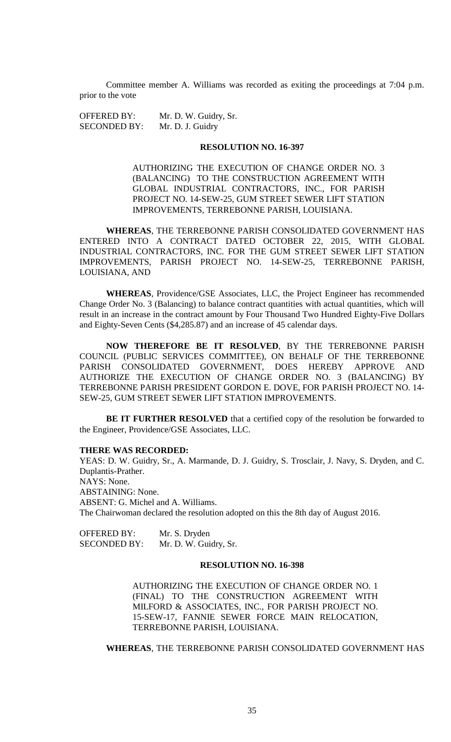Committee member A. Williams was recorded as exiting the proceedings at 7:04 p.m. prior to the vote

OFFERED BY: Mr. D. W. Guidry, Sr. SECONDED BY: Mr. D. J. Guidry

# **RESOLUTION NO. 16-397**

AUTHORIZING THE EXECUTION OF CHANGE ORDER NO. 3 (BALANCING) TO THE CONSTRUCTION AGREEMENT WITH GLOBAL INDUSTRIAL CONTRACTORS, INC., FOR PARISH PROJECT NO. 14-SEW-25, GUM STREET SEWER LIFT STATION IMPROVEMENTS, TERREBONNE PARISH, LOUISIANA.

**WHEREAS**, THE TERREBONNE PARISH CONSOLIDATED GOVERNMENT HAS ENTERED INTO A CONTRACT DATED OCTOBER 22, 2015, WITH GLOBAL INDUSTRIAL CONTRACTORS, INC. FOR THE GUM STREET SEWER LIFT STATION IMPROVEMENTS, PARISH PROJECT NO. 14-SEW-25, TERREBONNE PARISH, LOUISIANA, AND

**WHEREAS**, Providence/GSE Associates, LLC, the Project Engineer has recommended Change Order No. 3 (Balancing) to balance contract quantities with actual quantities, which will result in an increase in the contract amount by Four Thousand Two Hundred Eighty-Five Dollars and Eighty-Seven Cents (\$4,285.87) and an increase of 45 calendar days.

**NOW THEREFORE BE IT RESOLVED**, BY THE TERREBONNE PARISH COUNCIL (PUBLIC SERVICES COMMITTEE), ON BEHALF OF THE TERREBONNE PARISH CONSOLIDATED GOVERNMENT, DOES HEREBY APPROVE AND AUTHORIZE THE EXECUTION OF CHANGE ORDER NO. 3 (BALANCING) BY TERREBONNE PARISH PRESIDENT GORDON E. DOVE, FOR PARISH PROJECT NO. 14- SEW-25, GUM STREET SEWER LIFT STATION IMPROVEMENTS.

BE IT FURTHER RESOLVED that a certified copy of the resolution be forwarded to the Engineer, Providence/GSE Associates, LLC.

### **THERE WAS RECORDED:**

YEAS: D. W. Guidry, Sr., A. Marmande, D. J. Guidry, S. Trosclair, J. Navy, S. Dryden, and C. Duplantis-Prather. NAYS: None. ABSTAINING: None. ABSENT: G. Michel and A. Williams. The Chairwoman declared the resolution adopted on this the 8th day of August 2016.

OFFERED BY: Mr. S. Dryden SECONDED BY: Mr. D. W. Guidry, Sr.

### **RESOLUTION NO. 16-398**

AUTHORIZING THE EXECUTION OF CHANGE ORDER NO. 1 (FINAL) TO THE CONSTRUCTION AGREEMENT WITH MILFORD & ASSOCIATES, INC., FOR PARISH PROJECT NO. 15-SEW-17, FANNIE SEWER FORCE MAIN RELOCATION, TERREBONNE PARISH, LOUISIANA.

**WHEREAS**, THE TERREBONNE PARISH CONSOLIDATED GOVERNMENT HAS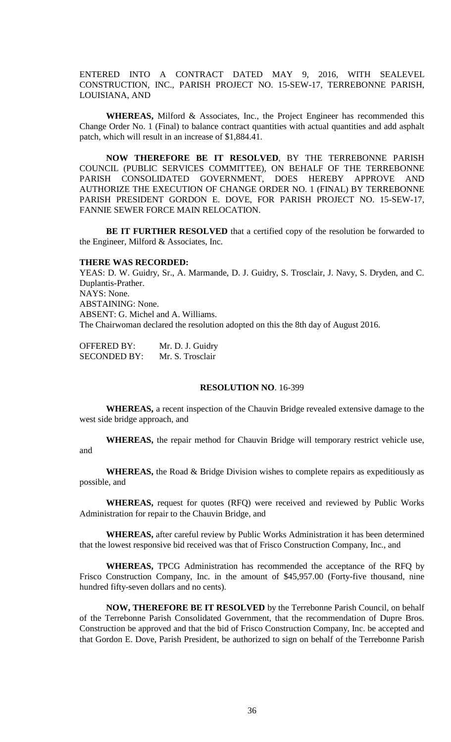ENTERED INTO A CONTRACT DATED MAY 9, 2016, WITH SEALEVEL CONSTRUCTION, INC., PARISH PROJECT NO. 15-SEW-17, TERREBONNE PARISH, LOUISIANA, AND

**WHEREAS,** Milford & Associates, Inc., the Project Engineer has recommended this Change Order No. 1 (Final) to balance contract quantities with actual quantities and add asphalt patch, which will result in an increase of \$1,884.41.

**NOW THEREFORE BE IT RESOLVED**, BY THE TERREBONNE PARISH COUNCIL (PUBLIC SERVICES COMMITTEE), ON BEHALF OF THE TERREBONNE PARISH CONSOLIDATED GOVERNMENT, DOES HEREBY APPROVE AND AUTHORIZE THE EXECUTION OF CHANGE ORDER NO. 1 (FINAL) BY TERREBONNE PARISH PRESIDENT GORDON E. DOVE, FOR PARISH PROJECT NO. 15-SEW-17, FANNIE SEWER FORCE MAIN RELOCATION.

**BE IT FURTHER RESOLVED** that a certified copy of the resolution be forwarded to the Engineer, Milford & Associates, Inc.

#### **THERE WAS RECORDED:**

YEAS: D. W. Guidry, Sr., A. Marmande, D. J. Guidry, S. Trosclair, J. Navy, S. Dryden, and C. Duplantis-Prather. NAYS: None. ABSTAINING: None. ABSENT: G. Michel and A. Williams. The Chairwoman declared the resolution adopted on this the 8th day of August 2016.

| <b>OFFERED BY:</b>  | Mr. D. J. Guidry |
|---------------------|------------------|
| <b>SECONDED BY:</b> | Mr. S. Trosclair |

### **RESOLUTION NO**. 16-399

**WHEREAS,** a recent inspection of the Chauvin Bridge revealed extensive damage to the west side bridge approach, and

**WHEREAS,** the repair method for Chauvin Bridge will temporary restrict vehicle use, and

**WHEREAS,** the Road & Bridge Division wishes to complete repairs as expeditiously as possible, and

**WHEREAS,** request for quotes (RFQ) were received and reviewed by Public Works Administration for repair to the Chauvin Bridge, and

**WHEREAS,** after careful review by Public Works Administration it has been determined that the lowest responsive bid received was that of Frisco Construction Company, Inc., and

**WHEREAS,** TPCG Administration has recommended the acceptance of the RFQ by Frisco Construction Company, Inc. in the amount of \$45,957.00 (Forty-five thousand, nine hundred fifty-seven dollars and no cents).

**NOW, THEREFORE BE IT RESOLVED** by the Terrebonne Parish Council, on behalf of the Terrebonne Parish Consolidated Government, that the recommendation of Dupre Bros. Construction be approved and that the bid of Frisco Construction Company, Inc. be accepted and that Gordon E. Dove, Parish President, be authorized to sign on behalf of the Terrebonne Parish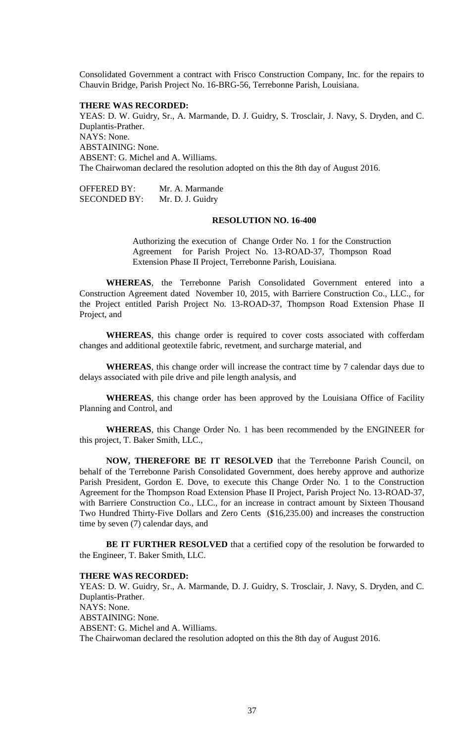Consolidated Government a contract with Frisco Construction Company, Inc. for the repairs to Chauvin Bridge, Parish Project No. 16-BRG-56, Terrebonne Parish, Louisiana.

#### **THERE WAS RECORDED:**

YEAS: D. W. Guidry, Sr., A. Marmande, D. J. Guidry, S. Trosclair, J. Navy, S. Dryden, and C. Duplantis-Prather. NAYS: None. ABSTAINING: None. ABSENT: G. Michel and A. Williams. The Chairwoman declared the resolution adopted on this the 8th day of August 2016.

OFFERED BY: Mr. A. Marmande SECONDED BY: Mr. D. J. Guidry

### **RESOLUTION NO. 16-400**

Authorizing the execution of Change Order No. 1 for the Construction Agreement for Parish Project No. 13-ROAD-37, Thompson Road Extension Phase II Project, Terrebonne Parish, Louisiana.

**WHEREAS**, the Terrebonne Parish Consolidated Government entered into a Construction Agreement dated November 10, 2015, with Barriere Construction Co., LLC., for the Project entitled Parish Project No. 13-ROAD-37, Thompson Road Extension Phase II Project, and

**WHEREAS**, this change order is required to cover costs associated with cofferdam changes and additional geotextile fabric, revetment, and surcharge material, and

**WHEREAS**, this change order will increase the contract time by 7 calendar days due to delays associated with pile drive and pile length analysis, and

**WHEREAS**, this change order has been approved by the Louisiana Office of Facility Planning and Control, and

**WHEREAS**, this Change Order No. 1 has been recommended by the ENGINEER for this project, T. Baker Smith, LLC.,

**NOW, THEREFORE BE IT RESOLVED** that the Terrebonne Parish Council, on behalf of the Terrebonne Parish Consolidated Government, does hereby approve and authorize Parish President, Gordon E. Dove, to execute this Change Order No. 1 to the Construction Agreement for the Thompson Road Extension Phase II Project, Parish Project No. 13-ROAD-37, with Barriere Construction Co., LLC., for an increase in contract amount by Sixteen Thousand Two Hundred Thirty-Five Dollars and Zero Cents (\$16,235.00) and increases the construction time by seven (7) calendar days, and

**BE IT FURTHER RESOLVED** that a certified copy of the resolution be forwarded to the Engineer, T. Baker Smith, LLC.

#### **THERE WAS RECORDED:**

YEAS: D. W. Guidry, Sr., A. Marmande, D. J. Guidry, S. Trosclair, J. Navy, S. Dryden, and C. Duplantis-Prather. NAYS: None. ABSTAINING: None. ABSENT: G. Michel and A. Williams. The Chairwoman declared the resolution adopted on this the 8th day of August 2016.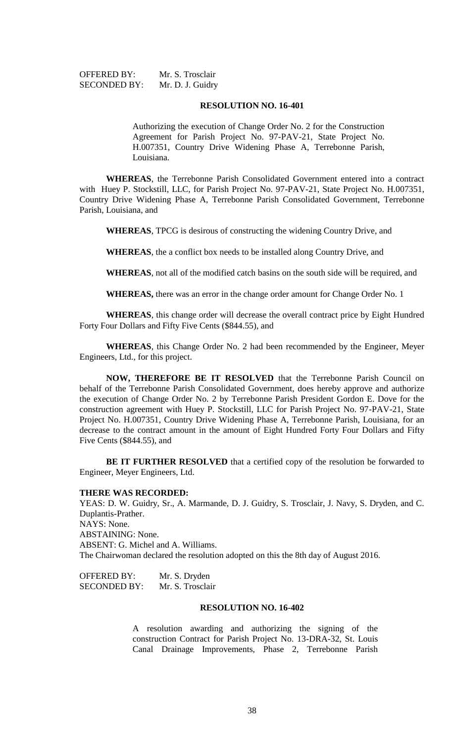| <b>OFFERED BY:</b>  | Mr. S. Trosclair |
|---------------------|------------------|
| <b>SECONDED BY:</b> | Mr. D. J. Guidry |

#### **RESOLUTION NO. 16-401**

Authorizing the execution of Change Order No. 2 for the Construction Agreement for Parish Project No. 97-PAV-21, State Project No. H.007351, Country Drive Widening Phase A, Terrebonne Parish, Louisiana.

**WHEREAS**, the Terrebonne Parish Consolidated Government entered into a contract with Huey P. Stockstill, LLC, for Parish Project No. 97-PAV-21, State Project No. H.007351, Country Drive Widening Phase A, Terrebonne Parish Consolidated Government, Terrebonne Parish, Louisiana, and

**WHEREAS**, TPCG is desirous of constructing the widening Country Drive, and

**WHEREAS**, the a conflict box needs to be installed along Country Drive, and

**WHEREAS**, not all of the modified catch basins on the south side will be required, and

**WHEREAS,** there was an error in the change order amount for Change Order No. 1

**WHEREAS**, this change order will decrease the overall contract price by Eight Hundred Forty Four Dollars and Fifty Five Cents (\$844.55), and

**WHEREAS**, this Change Order No. 2 had been recommended by the Engineer, Meyer Engineers, Ltd., for this project.

**NOW, THEREFORE BE IT RESOLVED** that the Terrebonne Parish Council on behalf of the Terrebonne Parish Consolidated Government, does hereby approve and authorize the execution of Change Order No. 2 by Terrebonne Parish President Gordon E. Dove for the construction agreement with Huey P. Stockstill, LLC for Parish Project No. 97-PAV-21, State Project No. H.007351, Country Drive Widening Phase A, Terrebonne Parish, Louisiana, for an decrease to the contract amount in the amount of Eight Hundred Forty Four Dollars and Fifty Five Cents (\$844.55), and

**BE IT FURTHER RESOLVED** that a certified copy of the resolution be forwarded to Engineer, Meyer Engineers, Ltd.

#### **THERE WAS RECORDED:**

YEAS: D. W. Guidry, Sr., A. Marmande, D. J. Guidry, S. Trosclair, J. Navy, S. Dryden, and C. Duplantis-Prather. NAYS: None. ABSTAINING: None. ABSENT: G. Michel and A. Williams. The Chairwoman declared the resolution adopted on this the 8th day of August 2016.

| <b>OFFERED BY:</b>  | Mr. S. Dryden    |
|---------------------|------------------|
| <b>SECONDED BY:</b> | Mr. S. Trosclair |

### **RESOLUTION NO. 16-402**

A resolution awarding and authorizing the signing of the construction Contract for Parish Project No. 13-DRA-32, St. Louis Canal Drainage Improvements, Phase 2, Terrebonne Parish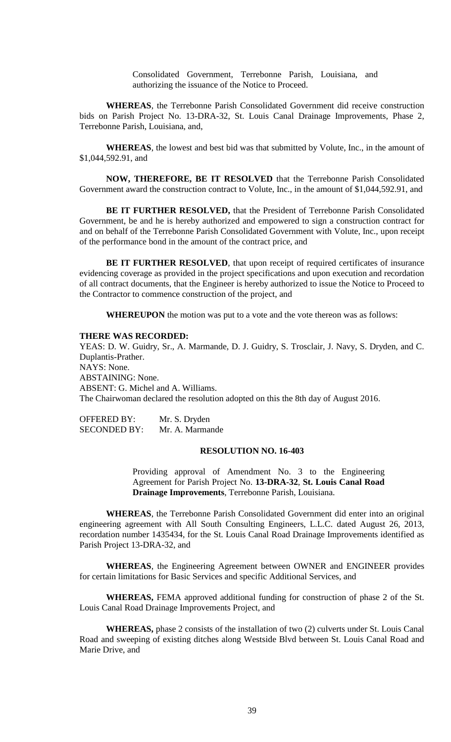Consolidated Government, Terrebonne Parish, Louisiana, and authorizing the issuance of the Notice to Proceed.

**WHEREAS**, the Terrebonne Parish Consolidated Government did receive construction bids on Parish Project No. 13-DRA-32, St. Louis Canal Drainage Improvements, Phase 2, Terrebonne Parish, Louisiana, and,

**WHEREAS**, the lowest and best bid was that submitted by Volute, Inc., in the amount of \$1,044,592.91, and

**NOW, THEREFORE, BE IT RESOLVED** that the Terrebonne Parish Consolidated Government award the construction contract to Volute, Inc., in the amount of \$1,044,592.91, and

**BE IT FURTHER RESOLVED,** that the President of Terrebonne Parish Consolidated Government, be and he is hereby authorized and empowered to sign a construction contract for and on behalf of the Terrebonne Parish Consolidated Government with Volute, Inc., upon receipt of the performance bond in the amount of the contract price, and

**BE IT FURTHER RESOLVED**, that upon receipt of required certificates of insurance evidencing coverage as provided in the project specifications and upon execution and recordation of all contract documents, that the Engineer is hereby authorized to issue the Notice to Proceed to the Contractor to commence construction of the project, and

**WHEREUPON** the motion was put to a vote and the vote thereon was as follows:

#### **THERE WAS RECORDED:**

YEAS: D. W. Guidry, Sr., A. Marmande, D. J. Guidry, S. Trosclair, J. Navy, S. Dryden, and C. Duplantis-Prather. NAYS: None. ABSTAINING: None. ABSENT: G. Michel and A. Williams. The Chairwoman declared the resolution adopted on this the 8th day of August 2016.

| <b>OFFERED BY:</b>  | Mr. S. Dryden   |
|---------------------|-----------------|
| <b>SECONDED BY:</b> | Mr. A. Marmande |

### **RESOLUTION NO. 16-403**

Providing approval of Amendment No. 3 to the Engineering Agreement for Parish Project No. **13-DRA-32**, **St. Louis Canal Road Drainage Improvements**, Terrebonne Parish, Louisiana.

**WHEREAS**, the Terrebonne Parish Consolidated Government did enter into an original engineering agreement with All South Consulting Engineers, L.L.C. dated August 26, 2013, recordation number 1435434, for the St. Louis Canal Road Drainage Improvements identified as Parish Project 13-DRA-32, and

**WHEREAS**, the Engineering Agreement between OWNER and ENGINEER provides for certain limitations for Basic Services and specific Additional Services, and

**WHEREAS,** FEMA approved additional funding for construction of phase 2 of the St. Louis Canal Road Drainage Improvements Project, and

**WHEREAS,** phase 2 consists of the installation of two (2) culverts under St. Louis Canal Road and sweeping of existing ditches along Westside Blvd between St. Louis Canal Road and Marie Drive, and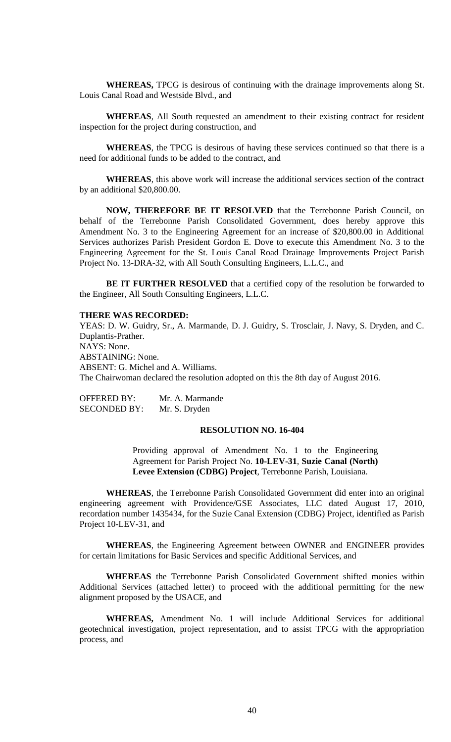**WHEREAS,** TPCG is desirous of continuing with the drainage improvements along St. Louis Canal Road and Westside Blvd., and

**WHEREAS**, All South requested an amendment to their existing contract for resident inspection for the project during construction, and

**WHEREAS**, the TPCG is desirous of having these services continued so that there is a need for additional funds to be added to the contract, and

**WHEREAS**, this above work will increase the additional services section of the contract by an additional \$20,800.00.

**NOW, THEREFORE BE IT RESOLVED** that the Terrebonne Parish Council, on behalf of the Terrebonne Parish Consolidated Government, does hereby approve this Amendment No. 3 to the Engineering Agreement for an increase of \$20,800.00 in Additional Services authorizes Parish President Gordon E. Dove to execute this Amendment No. 3 to the Engineering Agreement for the St. Louis Canal Road Drainage Improvements Project Parish Project No. 13-DRA-32, with All South Consulting Engineers, L.L.C., and

**BE IT FURTHER RESOLVED** that a certified copy of the resolution be forwarded to the Engineer, All South Consulting Engineers, L.L.C.

#### **THERE WAS RECORDED:**

YEAS: D. W. Guidry, Sr., A. Marmande, D. J. Guidry, S. Trosclair, J. Navy, S. Dryden, and C. Duplantis-Prather. NAYS: None. ABSTAINING: None. ABSENT: G. Michel and A. Williams. The Chairwoman declared the resolution adopted on this the 8th day of August 2016.

OFFERED BY: Mr. A. Marmande SECONDED BY: Mr. S. Dryden

#### **RESOLUTION NO. 16-404**

Providing approval of Amendment No. 1 to the Engineering Agreement for Parish Project No. **10-LEV-31**, **Suzie Canal (North) Levee Extension (CDBG) Project**, Terrebonne Parish, Louisiana.

**WHEREAS**, the Terrebonne Parish Consolidated Government did enter into an original engineering agreement with Providence/GSE Associates, LLC dated August 17, 2010, recordation number 1435434, for the Suzie Canal Extension (CDBG) Project, identified as Parish Project 10-LEV-31, and

**WHEREAS**, the Engineering Agreement between OWNER and ENGINEER provides for certain limitations for Basic Services and specific Additional Services, and

**WHEREAS** the Terrebonne Parish Consolidated Government shifted monies within Additional Services (attached letter) to proceed with the additional permitting for the new alignment proposed by the USACE, and

**WHEREAS,** Amendment No. 1 will include Additional Services for additional geotechnical investigation, project representation, and to assist TPCG with the appropriation process, and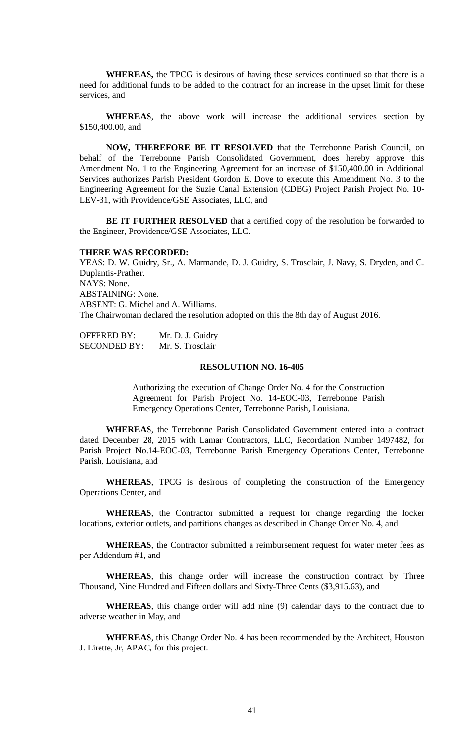**WHEREAS,** the TPCG is desirous of having these services continued so that there is a need for additional funds to be added to the contract for an increase in the upset limit for these services, and

**WHEREAS**, the above work will increase the additional services section by \$150,400.00, and

**NOW, THEREFORE BE IT RESOLVED** that the Terrebonne Parish Council, on behalf of the Terrebonne Parish Consolidated Government, does hereby approve this Amendment No. 1 to the Engineering Agreement for an increase of \$150,400.00 in Additional Services authorizes Parish President Gordon E. Dove to execute this Amendment No. 3 to the Engineering Agreement for the Suzie Canal Extension (CDBG) Project Parish Project No. 10- LEV-31, with Providence/GSE Associates, LLC, and

**BE IT FURTHER RESOLVED** that a certified copy of the resolution be forwarded to the Engineer, Providence/GSE Associates, LLC.

#### **THERE WAS RECORDED:**

YEAS: D. W. Guidry, Sr., A. Marmande, D. J. Guidry, S. Trosclair, J. Navy, S. Dryden, and C. Duplantis-Prather. NAYS: None. ABSTAINING: None. ABSENT: G. Michel and A. Williams. The Chairwoman declared the resolution adopted on this the 8th day of August 2016.

| <b>OFFERED BY:</b>  | Mr. D. J. Guidry |
|---------------------|------------------|
| <b>SECONDED BY:</b> | Mr. S. Trosclair |

#### **RESOLUTION NO. 16-405**

Authorizing the execution of Change Order No. 4 for the Construction Agreement for Parish Project No. 14-EOC-03, Terrebonne Parish Emergency Operations Center, Terrebonne Parish, Louisiana.

**WHEREAS**, the Terrebonne Parish Consolidated Government entered into a contract dated December 28, 2015 with Lamar Contractors, LLC, Recordation Number 1497482, for Parish Project No.14-EOC-03, Terrebonne Parish Emergency Operations Center, Terrebonne Parish, Louisiana, and

**WHEREAS**, TPCG is desirous of completing the construction of the Emergency Operations Center, and

**WHEREAS**, the Contractor submitted a request for change regarding the locker locations, exterior outlets, and partitions changes as described in Change Order No. 4, and

**WHEREAS**, the Contractor submitted a reimbursement request for water meter fees as per Addendum #1, and

WHEREAS, this change order will increase the construction contract by Three Thousand, Nine Hundred and Fifteen dollars and Sixty-Three Cents (\$3,915.63), and

**WHEREAS**, this change order will add nine (9) calendar days to the contract due to adverse weather in May, and

**WHEREAS**, this Change Order No. 4 has been recommended by the Architect, Houston J. Lirette, Jr, APAC, for this project.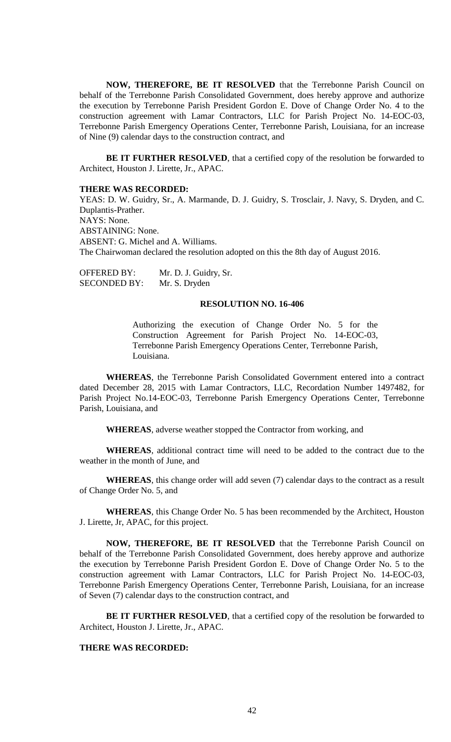**NOW, THEREFORE, BE IT RESOLVED** that the Terrebonne Parish Council on behalf of the Terrebonne Parish Consolidated Government, does hereby approve and authorize the execution by Terrebonne Parish President Gordon E. Dove of Change Order No. 4 to the construction agreement with Lamar Contractors, LLC for Parish Project No. 14-EOC-03, Terrebonne Parish Emergency Operations Center, Terrebonne Parish, Louisiana, for an increase of Nine (9) calendar days to the construction contract, and

**BE IT FURTHER RESOLVED**, that a certified copy of the resolution be forwarded to Architect, Houston J. Lirette, Jr., APAC.

#### **THERE WAS RECORDED:**

YEAS: D. W. Guidry, Sr., A. Marmande, D. J. Guidry, S. Trosclair, J. Navy, S. Dryden, and C. Duplantis-Prather. NAYS: None. ABSTAINING: None. ABSENT: G. Michel and A. Williams. The Chairwoman declared the resolution adopted on this the 8th day of August 2016.

OFFERED BY: Mr. D. J. Guidry, Sr. SECONDED BY: Mr. S. Dryden

#### **RESOLUTION NO. 16-406**

Authorizing the execution of Change Order No. 5 for the Construction Agreement for Parish Project No. 14-EOC-03, Terrebonne Parish Emergency Operations Center, Terrebonne Parish, Louisiana.

**WHEREAS**, the Terrebonne Parish Consolidated Government entered into a contract dated December 28, 2015 with Lamar Contractors, LLC, Recordation Number 1497482, for Parish Project No.14-EOC-03, Terrebonne Parish Emergency Operations Center, Terrebonne Parish, Louisiana, and

**WHEREAS**, adverse weather stopped the Contractor from working, and

**WHEREAS**, additional contract time will need to be added to the contract due to the weather in the month of June, and

**WHEREAS**, this change order will add seven (7) calendar days to the contract as a result of Change Order No. 5, and

**WHEREAS**, this Change Order No. 5 has been recommended by the Architect, Houston J. Lirette, Jr, APAC, for this project.

**NOW, THEREFORE, BE IT RESOLVED** that the Terrebonne Parish Council on behalf of the Terrebonne Parish Consolidated Government, does hereby approve and authorize the execution by Terrebonne Parish President Gordon E. Dove of Change Order No. 5 to the construction agreement with Lamar Contractors, LLC for Parish Project No. 14-EOC-03, Terrebonne Parish Emergency Operations Center, Terrebonne Parish, Louisiana, for an increase of Seven (7) calendar days to the construction contract, and

BE IT FURTHER RESOLVED, that a certified copy of the resolution be forwarded to Architect, Houston J. Lirette, Jr., APAC.

# **THERE WAS RECORDED:**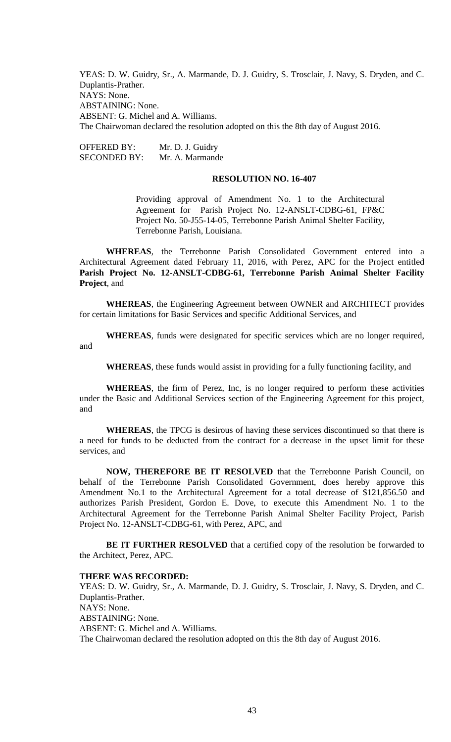YEAS: D. W. Guidry, Sr., A. Marmande, D. J. Guidry, S. Trosclair, J. Navy, S. Dryden, and C. Duplantis-Prather. NAYS: None. ABSTAINING: None. ABSENT: G. Michel and A. Williams. The Chairwoman declared the resolution adopted on this the 8th day of August 2016.

OFFERED BY: Mr. D. J. Guidry SECONDED BY: Mr. A. Marmande

## **RESOLUTION NO. 16-407**

Providing approval of Amendment No. 1 to the Architectural Agreement for Parish Project No. 12-ANSLT-CDBG-61, FP&C Project No. 50-J55-14-05, Terrebonne Parish Animal Shelter Facility, Terrebonne Parish, Louisiana.

**WHEREAS**, the Terrebonne Parish Consolidated Government entered into a Architectural Agreement dated February 11, 2016, with Perez, APC for the Project entitled **Parish Project No. 12-ANSLT-CDBG-61, Terrebonne Parish Animal Shelter Facility Project**, and

**WHEREAS**, the Engineering Agreement between OWNER and ARCHITECT provides for certain limitations for Basic Services and specific Additional Services, and

**WHEREAS**, funds were designated for specific services which are no longer required, and

**WHEREAS**, these funds would assist in providing for a fully functioning facility, and

**WHEREAS**, the firm of Perez, Inc, is no longer required to perform these activities under the Basic and Additional Services section of the Engineering Agreement for this project, and

**WHEREAS**, the TPCG is desirous of having these services discontinued so that there is a need for funds to be deducted from the contract for a decrease in the upset limit for these services, and

**NOW, THEREFORE BE IT RESOLVED** that the Terrebonne Parish Council, on behalf of the Terrebonne Parish Consolidated Government, does hereby approve this Amendment No.1 to the Architectural Agreement for a total decrease of \$121,856.50 and authorizes Parish President, Gordon E. Dove, to execute this Amendment No. 1 to the Architectural Agreement for the Terrebonne Parish Animal Shelter Facility Project, Parish Project No. 12-ANSLT-CDBG-61, with Perez, APC, and

**BE IT FURTHER RESOLVED** that a certified copy of the resolution be forwarded to the Architect, Perez, APC.

#### **THERE WAS RECORDED:**

YEAS: D. W. Guidry, Sr., A. Marmande, D. J. Guidry, S. Trosclair, J. Navy, S. Dryden, and C. Duplantis-Prather. NAYS: None. ABSTAINING: None. ABSENT: G. Michel and A. Williams. The Chairwoman declared the resolution adopted on this the 8th day of August 2016.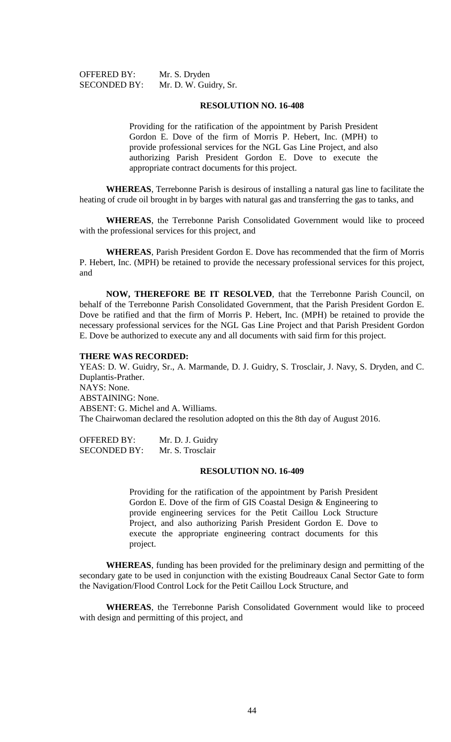OFFERED BY: Mr. S. Dryden

SECONDED BY: Mr. D. W. Guidry, Sr.

#### **RESOLUTION NO. 16-408**

Providing for the ratification of the appointment by Parish President Gordon E. Dove of the firm of Morris P. Hebert, Inc. (MPH) to provide professional services for the NGL Gas Line Project, and also authorizing Parish President Gordon E. Dove to execute the appropriate contract documents for this project.

**WHEREAS**, Terrebonne Parish is desirous of installing a natural gas line to facilitate the heating of crude oil brought in by barges with natural gas and transferring the gas to tanks, and

**WHEREAS**, the Terrebonne Parish Consolidated Government would like to proceed with the professional services for this project, and

**WHEREAS**, Parish President Gordon E. Dove has recommended that the firm of Morris P. Hebert, Inc. (MPH) be retained to provide the necessary professional services for this project, and

**NOW, THEREFORE BE IT RESOLVED**, that the Terrebonne Parish Council, on behalf of the Terrebonne Parish Consolidated Government, that the Parish President Gordon E. Dove be ratified and that the firm of Morris P. Hebert, Inc. (MPH) be retained to provide the necessary professional services for the NGL Gas Line Project and that Parish President Gordon E. Dove be authorized to execute any and all documents with said firm for this project.

### **THERE WAS RECORDED:**

YEAS: D. W. Guidry, Sr., A. Marmande, D. J. Guidry, S. Trosclair, J. Navy, S. Dryden, and C. Duplantis-Prather. NAYS: None. ABSTAINING: None. ABSENT: G. Michel and A. Williams. The Chairwoman declared the resolution adopted on this the 8th day of August 2016.

OFFERED BY: Mr. D. J. Guidry SECONDED BY: Mr. S. Trosclair

## **RESOLUTION NO. 16-409**

Providing for the ratification of the appointment by Parish President Gordon E. Dove of the firm of GIS Coastal Design & Engineering to provide engineering services for the Petit Caillou Lock Structure Project, and also authorizing Parish President Gordon E. Dove to execute the appropriate engineering contract documents for this project.

**WHEREAS**, funding has been provided for the preliminary design and permitting of the secondary gate to be used in conjunction with the existing Boudreaux Canal Sector Gate to form the Navigation/Flood Control Lock for the Petit Caillou Lock Structure, and

**WHEREAS**, the Terrebonne Parish Consolidated Government would like to proceed with design and permitting of this project, and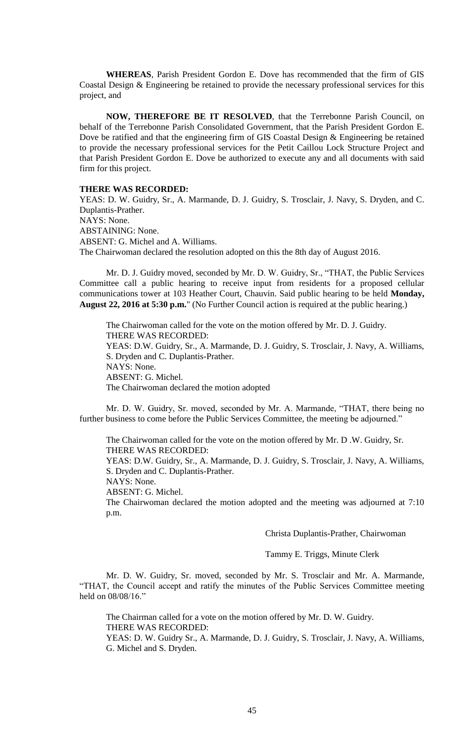**WHEREAS**, Parish President Gordon E. Dove has recommended that the firm of GIS Coastal Design & Engineering be retained to provide the necessary professional services for this project, and

**NOW, THEREFORE BE IT RESOLVED**, that the Terrebonne Parish Council, on behalf of the Terrebonne Parish Consolidated Government, that the Parish President Gordon E. Dove be ratified and that the engineering firm of GIS Coastal Design & Engineering be retained to provide the necessary professional services for the Petit Caillou Lock Structure Project and that Parish President Gordon E. Dove be authorized to execute any and all documents with said firm for this project.

#### **THERE WAS RECORDED:**

YEAS: D. W. Guidry, Sr., A. Marmande, D. J. Guidry, S. Trosclair, J. Navy, S. Dryden, and C. Duplantis-Prather. NAYS: None. ABSTAINING: None. ABSENT: G. Michel and A. Williams. The Chairwoman declared the resolution adopted on this the 8th day of August 2016.

Mr. D. J. Guidry moved, seconded by Mr. D. W. Guidry, Sr., "THAT, the Public Services Committee call a public hearing to receive input from residents for a proposed cellular communications tower at 103 Heather Court, Chauvin. Said public hearing to be held **Monday, August 22, 2016 at 5:30 p.m.**" (No Further Council action is required at the public hearing.)

The Chairwoman called for the vote on the motion offered by Mr. D. J. Guidry. THERE WAS RECORDED: YEAS: D.W. Guidry, Sr., A. Marmande, D. J. Guidry, S. Trosclair, J. Navy, A. Williams, S. Dryden and C. Duplantis-Prather. NAYS: None. ABSENT: G. Michel. The Chairwoman declared the motion adopted

Mr. D. W. Guidry, Sr. moved, seconded by Mr. A. Marmande, "THAT, there being no further business to come before the Public Services Committee, the meeting be adjourned."

The Chairwoman called for the vote on the motion offered by Mr. D .W. Guidry, Sr. THERE WAS RECORDED:

YEAS: D.W. Guidry, Sr., A. Marmande, D. J. Guidry, S. Trosclair, J. Navy, A. Williams, S. Dryden and C. Duplantis-Prather.

NAYS: None.

ABSENT: G. Michel.

The Chairwoman declared the motion adopted and the meeting was adjourned at 7:10 p.m.

Christa Duplantis-Prather, Chairwoman

Tammy E. Triggs, Minute Clerk

Mr. D. W. Guidry, Sr. moved, seconded by Mr. S. Trosclair and Mr. A. Marmande, "THAT, the Council accept and ratify the minutes of the Public Services Committee meeting held on 08/08/16."

The Chairman called for a vote on the motion offered by Mr. D. W. Guidry. THERE WAS RECORDED: YEAS: D. W. Guidry Sr., A. Marmande, D. J. Guidry, S. Trosclair, J. Navy, A. Williams, G. Michel and S. Dryden.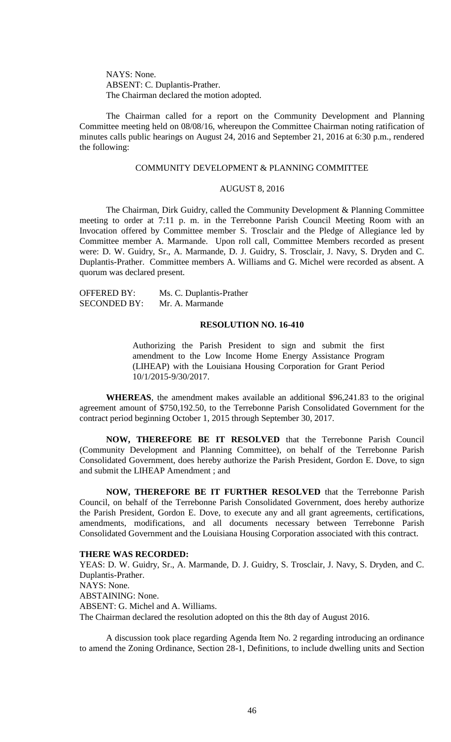NAYS: None. ABSENT: C. Duplantis-Prather. The Chairman declared the motion adopted.

The Chairman called for a report on the Community Development and Planning Committee meeting held on 08/08/16, whereupon the Committee Chairman noting ratification of minutes calls public hearings on August 24, 2016 and September 21, 2016 at 6:30 p.m., rendered the following:

#### COMMUNITY DEVELOPMENT & PLANNING COMMITTEE

## AUGUST 8, 2016

The Chairman, Dirk Guidry, called the Community Development & Planning Committee meeting to order at 7:11 p. m. in the Terrebonne Parish Council Meeting Room with an Invocation offered by Committee member S. Trosclair and the Pledge of Allegiance led by Committee member A. Marmande. Upon roll call, Committee Members recorded as present were: D. W. Guidry, Sr., A. Marmande, D. J. Guidry, S. Trosclair, J. Navy, S. Dryden and C. Duplantis-Prather. Committee members A. Williams and G. Michel were recorded as absent. A quorum was declared present.

| <b>OFFERED BY:</b>  | Ms. C. Duplantis-Prather |
|---------------------|--------------------------|
| <b>SECONDED BY:</b> | Mr. A. Marmande          |

### **RESOLUTION NO. 16-410**

Authorizing the Parish President to sign and submit the first amendment to the Low Income Home Energy Assistance Program (LIHEAP) with the Louisiana Housing Corporation for Grant Period 10/1/2015-9/30/2017.

**WHEREAS**, the amendment makes available an additional \$96,241.83 to the original agreement amount of \$750,192.50, to the Terrebonne Parish Consolidated Government for the contract period beginning October 1, 2015 through September 30, 2017.

**NOW, THEREFORE BE IT RESOLVED** that the Terrebonne Parish Council (Community Development and Planning Committee), on behalf of the Terrebonne Parish Consolidated Government, does hereby authorize the Parish President, Gordon E. Dove, to sign and submit the LIHEAP Amendment ; and

**NOW, THEREFORE BE IT FURTHER RESOLVED** that the Terrebonne Parish Council, on behalf of the Terrebonne Parish Consolidated Government, does hereby authorize the Parish President, Gordon E. Dove, to execute any and all grant agreements, certifications, amendments, modifications, and all documents necessary between Terrebonne Parish Consolidated Government and the Louisiana Housing Corporation associated with this contract.

#### **THERE WAS RECORDED:**

YEAS: D. W. Guidry, Sr., A. Marmande, D. J. Guidry, S. Trosclair, J. Navy, S. Dryden, and C. Duplantis-Prather. NAYS: None. ABSTAINING: None. ABSENT: G. Michel and A. Williams. The Chairman declared the resolution adopted on this the 8th day of August 2016.

A discussion took place regarding Agenda Item No. 2 regarding introducing an ordinance to amend the Zoning Ordinance, Section 28-1, Definitions, to include dwelling units and Section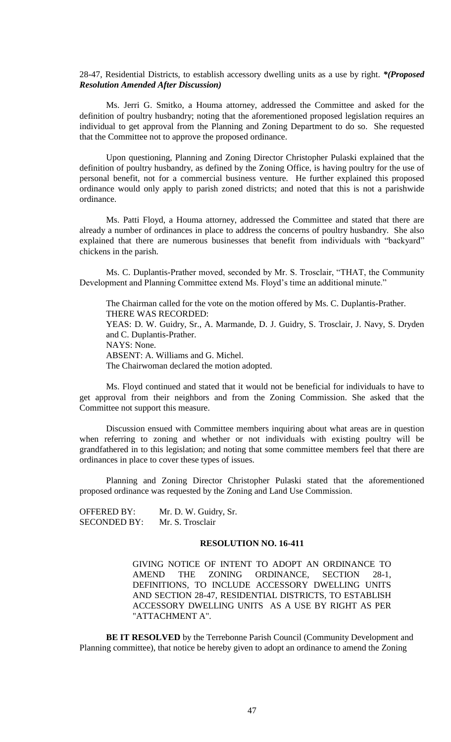28-47, Residential Districts, to establish accessory dwelling units as a use by right. *\*(Proposed Resolution Amended After Discussion)* 

Ms. Jerri G. Smitko, a Houma attorney, addressed the Committee and asked for the definition of poultry husbandry; noting that the aforementioned proposed legislation requires an individual to get approval from the Planning and Zoning Department to do so. She requested that the Committee not to approve the proposed ordinance.

Upon questioning, Planning and Zoning Director Christopher Pulaski explained that the definition of poultry husbandry, as defined by the Zoning Office, is having poultry for the use of personal benefit, not for a commercial business venture. He further explained this proposed ordinance would only apply to parish zoned districts; and noted that this is not a parishwide ordinance.

Ms. Patti Floyd, a Houma attorney, addressed the Committee and stated that there are already a number of ordinances in place to address the concerns of poultry husbandry. She also explained that there are numerous businesses that benefit from individuals with "backyard" chickens in the parish.

Ms. C. Duplantis-Prather moved, seconded by Mr. S. Trosclair, "THAT, the Community Development and Planning Committee extend Ms. Floyd's time an additional minute."

The Chairman called for the vote on the motion offered by Ms. C. Duplantis-Prather. THERE WAS RECORDED: YEAS: D. W. Guidry, Sr., A. Marmande, D. J. Guidry, S. Trosclair, J. Navy, S. Dryden and C. Duplantis-Prather. NAYS: None. ABSENT: A. Williams and G. Michel. The Chairwoman declared the motion adopted.

Ms. Floyd continued and stated that it would not be beneficial for individuals to have to get approval from their neighbors and from the Zoning Commission. She asked that the Committee not support this measure.

Discussion ensued with Committee members inquiring about what areas are in question when referring to zoning and whether or not individuals with existing poultry will be grandfathered in to this legislation; and noting that some committee members feel that there are ordinances in place to cover these types of issues.

Planning and Zoning Director Christopher Pulaski stated that the aforementioned proposed ordinance was requested by the Zoning and Land Use Commission.

OFFERED BY: Mr. D. W. Guidry, Sr. SECONDED BY: Mr. S. Trosclair

## **RESOLUTION NO. 16-411**

GIVING NOTICE OF INTENT TO ADOPT AN ORDINANCE TO AMEND THE ZONING ORDINANCE, SECTION 28-1, DEFINITIONS, TO INCLUDE ACCESSORY DWELLING UNITS AND SECTION 28-47, RESIDENTIAL DISTRICTS, TO ESTABLISH ACCESSORY DWELLING UNITS AS A USE BY RIGHT AS PER "ATTACHMENT A".

**BE IT RESOLVED** by the Terrebonne Parish Council (Community Development and Planning committee), that notice be hereby given to adopt an ordinance to amend the Zoning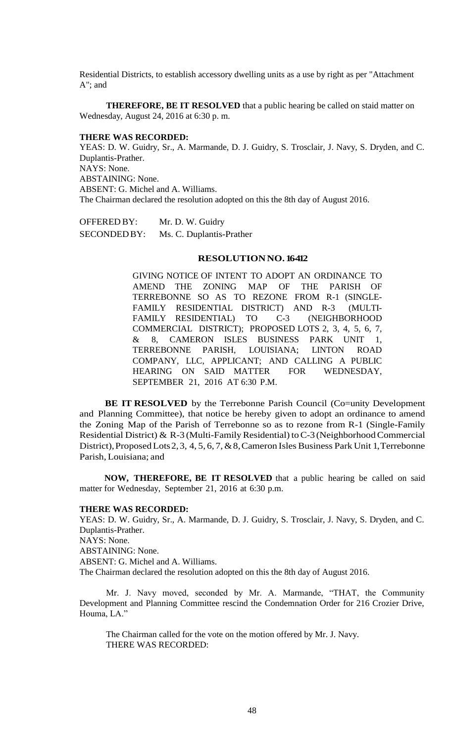Residential Districts, to establish accessory dwelling units as a use by right as per "Attachment A"; and

**THEREFORE, BE IT RESOLVED** that a public hearing be called on staid matter on Wednesday, August 24, 2016 at 6:30 p. m.

## **THERE WAS RECORDED:**

YEAS: D. W. Guidry, Sr., A. Marmande, D. J. Guidry, S. Trosclair, J. Navy, S. Dryden, and C. Duplantis-Prather. NAYS: None. ABSTAINING: None. ABSENT: G. Michel and A. Williams. The Chairman declared the resolution adopted on this the 8th day of August 2016.

OFFERED BY: Mr. D. W. Guidry SECONDEDBY: Ms. C. Duplantis-Prather

### **RESOLUTIONNO. 16-412**

GIVING NOTICE OF INTENT TO ADOPT AN ORDINANCE TO AMEND THE ZONING MAP OF THE PARISH OF TERREBONNE SO AS TO REZONE FROM R-1 (SINGLE-FAMILY RESIDENTIAL DISTRICT) AND R-3 (MULTI-FAMILY RESIDENTIAL) TO C-3 (NEIGHBORHOOD COMMERCIAL DISTRICT); PROPOSED LOTS 2, 3, 4, 5, 6, 7, & 8, CAMERON ISLES BUSINESS PARK UNIT 1, TERREBONNE PARISH, LOUISIANA; LINTON ROAD COMPANY, LLC, APPLICANT; AND CALLING A PUBLIC HEARING ON SAID MATTER FOR WEDNESDAY, SEPTEMBER 21, 2016 AT 6:30 P.M.

**BE IT RESOLVED** by the Terrebonne Parish Council (Co=unity Development and Planning Committee), that notice be hereby given to adopt an ordinance to amend the Zoning Map of the Parish of Terrebonne so as to rezone from R-1 (Single-Family Residential District) & R-3 (Multi-Family Residential) to  $C-3$  (Neighborhood Commercial District), Proposed Lots 2, 3, 4, 5, 6, 7, & 8, Cameron Isles Business Park Unit 1, Terrebonne Parish, Louisiana; and

**NOW, THEREFORE, BE IT RESOLVED** that a public hearing be called on said matter for Wednesday, September 21, 2016 at 6:30 p.m.

#### **THERE WAS RECORDED:**

YEAS: D. W. Guidry, Sr., A. Marmande, D. J. Guidry, S. Trosclair, J. Navy, S. Dryden, and C. Duplantis-Prather. NAYS: None. ABSTAINING: None. ABSENT: G. Michel and A. Williams. The Chairman declared the resolution adopted on this the 8th day of August 2016.

Mr. J. Navy moved, seconded by Mr. A. Marmande, "THAT, the Community Development and Planning Committee rescind the Condemnation Order for 216 Crozier Drive, Houma, LA."

The Chairman called for the vote on the motion offered by Mr. J. Navy. THERE WAS RECORDED: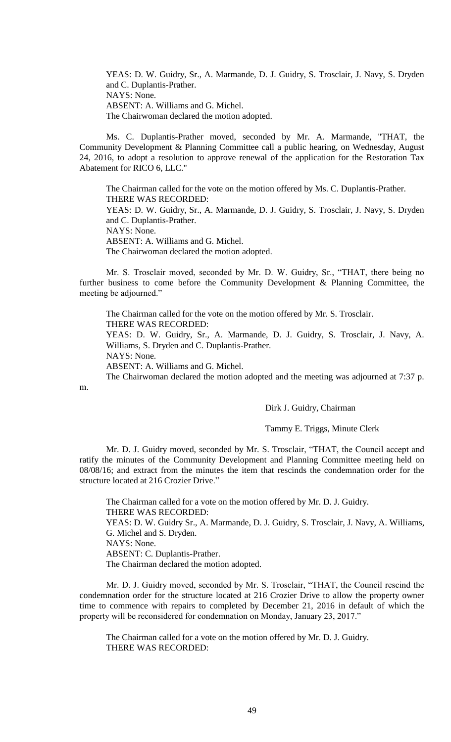YEAS: D. W. Guidry, Sr., A. Marmande, D. J. Guidry, S. Trosclair, J. Navy, S. Dryden and C. Duplantis-Prather. NAYS: None. ABSENT: A. Williams and G. Michel. The Chairwoman declared the motion adopted.

Ms. C. Duplantis-Prather moved, seconded by Mr. A. Marmande, "THAT, the Community Development & Planning Committee call a public hearing, on Wednesday, August 24, 2016, to adopt a resolution to approve renewal of the application for the Restoration Tax Abatement for RICO 6, LLC."

The Chairman called for the vote on the motion offered by Ms. C. Duplantis-Prather. THERE WAS RECORDED: YEAS: D. W. Guidry, Sr., A. Marmande, D. J. Guidry, S. Trosclair, J. Navy, S. Dryden and C. Duplantis-Prather. NAYS: None. ABSENT: A. Williams and G. Michel. The Chairwoman declared the motion adopted.

Mr. S. Trosclair moved, seconded by Mr. D. W. Guidry, Sr., "THAT, there being no further business to come before the Community Development & Planning Committee, the meeting be adjourned."

The Chairman called for the vote on the motion offered by Mr. S. Trosclair. THERE WAS RECORDED:

YEAS: D. W. Guidry, Sr., A. Marmande, D. J. Guidry, S. Trosclair, J. Navy, A. Williams, S. Dryden and C. Duplantis-Prather.

NAYS: None.

m.

ABSENT: A. Williams and G. Michel.

The Chairwoman declared the motion adopted and the meeting was adjourned at 7:37 p.

Dirk J. Guidry, Chairman

### Tammy E. Triggs, Minute Clerk

Mr. D. J. Guidry moved, seconded by Mr. S. Trosclair, "THAT, the Council accept and ratify the minutes of the Community Development and Planning Committee meeting held on 08/08/16; and extract from the minutes the item that rescinds the condemnation order for the structure located at 216 Crozier Drive."

The Chairman called for a vote on the motion offered by Mr. D. J. Guidry. THERE WAS RECORDED: YEAS: D. W. Guidry Sr., A. Marmande, D. J. Guidry, S. Trosclair, J. Navy, A. Williams, G. Michel and S. Dryden. NAYS: None. ABSENT: C. Duplantis-Prather. The Chairman declared the motion adopted.

Mr. D. J. Guidry moved, seconded by Mr. S. Trosclair, "THAT, the Council rescind the condemnation order for the structure located at 216 Crozier Drive to allow the property owner time to commence with repairs to completed by December 21, 2016 in default of which the property will be reconsidered for condemnation on Monday, January 23, 2017."

The Chairman called for a vote on the motion offered by Mr. D. J. Guidry. THERE WAS RECORDED: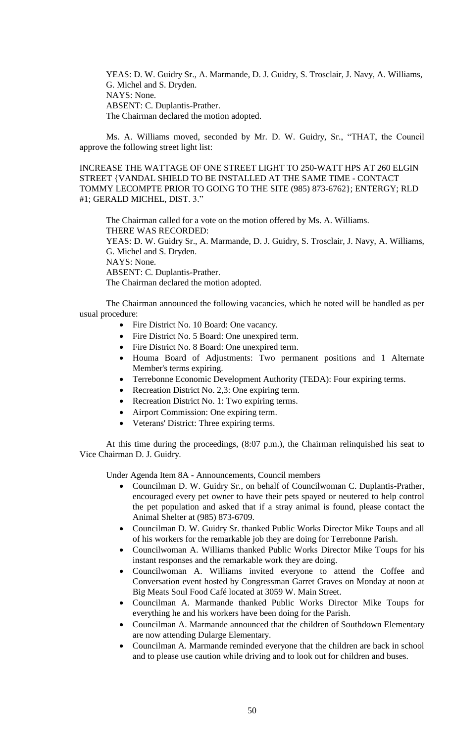YEAS: D. W. Guidry Sr., A. Marmande, D. J. Guidry, S. Trosclair, J. Navy, A. Williams, G. Michel and S. Dryden. NAYS: None. ABSENT: C. Duplantis-Prather. The Chairman declared the motion adopted.

Ms. A. Williams moved, seconded by Mr. D. W. Guidry, Sr., "THAT, the Council approve the following street light list:

INCREASE THE WATTAGE OF ONE STREET LIGHT TO 250-WATT HPS AT 260 ELGIN STREET {VANDAL SHIELD TO BE INSTALLED AT THE SAME TIME - CONTACT TOMMY LECOMPTE PRIOR TO GOING TO THE SITE (985) 873-6762}; ENTERGY; RLD #1; GERALD MICHEL, DIST. 3."

The Chairman called for a vote on the motion offered by Ms. A. Williams. THERE WAS RECORDED: YEAS: D. W. Guidry Sr., A. Marmande, D. J. Guidry, S. Trosclair, J. Navy, A. Williams, G. Michel and S. Dryden. NAYS: None. ABSENT: C. Duplantis-Prather. The Chairman declared the motion adopted.

The Chairman announced the following vacancies, which he noted will be handled as per usual procedure:

- Fire District No. 10 Board: One vacancy.
- Fire District No. 5 Board: One unexpired term.
- Fire District No. 8 Board: One unexpired term.
- Houma Board of Adjustments: Two permanent positions and 1 Alternate Member's terms expiring.
- Terrebonne Economic Development Authority (TEDA): Four expiring terms.
- Recreation District No. 2,3: One expiring term.
- Recreation District No. 1: Two expiring terms.
- Airport Commission: One expiring term.
- Veterans' District: Three expiring terms.

At this time during the proceedings, (8:07 p.m.), the Chairman relinquished his seat to Vice Chairman D. J. Guidry.

Under Agenda Item 8A - Announcements, Council members

- Councilman D. W. Guidry Sr., on behalf of Councilwoman C. Duplantis-Prather, encouraged every pet owner to have their pets spayed or neutered to help control the pet population and asked that if a stray animal is found, please contact the Animal Shelter at (985) 873-6709.
- Councilman D. W. Guidry Sr. thanked Public Works Director Mike Toups and all of his workers for the remarkable job they are doing for Terrebonne Parish.
- Councilwoman A. Williams thanked Public Works Director Mike Toups for his instant responses and the remarkable work they are doing.
- Councilwoman A. Williams invited everyone to attend the Coffee and Conversation event hosted by Congressman Garret Graves on Monday at noon at Big Meats Soul Food Café located at 3059 W. Main Street.
- Councilman A. Marmande thanked Public Works Director Mike Toups for everything he and his workers have been doing for the Parish.
- Councilman A. Marmande announced that the children of Southdown Elementary are now attending Dularge Elementary.
- Councilman A. Marmande reminded everyone that the children are back in school and to please use caution while driving and to look out for children and buses.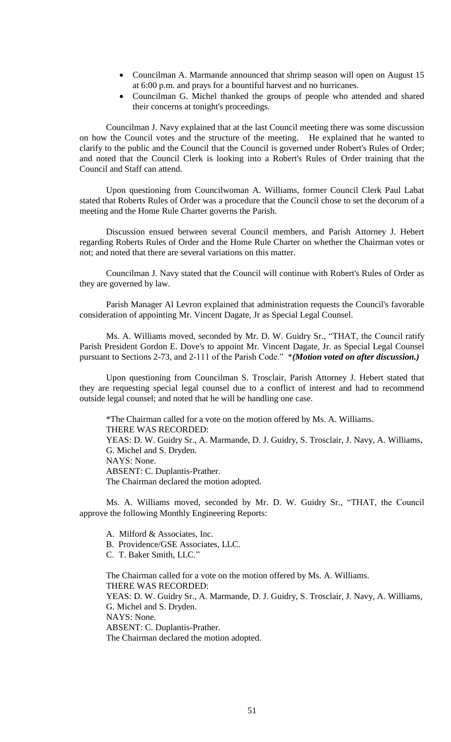- Councilman A. Marmande announced that shrimp season will open on August 15 at 6:00 p.m. and prays for a bountiful harvest and no hurricanes.
- Councilman G. Michel thanked the groups of people who attended and shared their concerns at tonight's proceedings.

Councilman J. Navy explained that at the last Council meeting there was some discussion on how the Council votes and the structure of the meeting. He explained that he wanted to clarify to the public and the Council that the Council is governed under Robert's Rules of Order; and noted that the Council Clerk is looking into a Robert's Rules of Order training that the Council and Staff can attend.

Upon questioning from Councilwoman A. Williams, former Council Clerk Paul Labat stated that Roberts Rules of Order was a procedure that the Council chose to set the decorum of a meeting and the Home Rule Charter governs the Parish.

Discussion ensued between several Council members, and Parish Attorney J. Hebert regarding Roberts Rules of Order and the Home Rule Charter on whether the Chairman votes or not; and noted that there are several variations on this matter.

Councilman J. Navy stated that the Council will continue with Robert's Rules of Order as they are governed by law.

Parish Manager Al Levron explained that administration requests the Council's favorable consideration of appointing Mr. Vincent Dagate, Jr as Special Legal Counsel.

Ms. A. Williams moved, seconded by Mr. D. W. Guidry Sr., "THAT, the Council ratify Parish President Gordon E. Dove's to appoint Mr. Vincent Dagate, Jr. as Special Legal Counsel pursuant to Sections 2-73, and 2-111 of the Parish Code." \**(Motion voted on after discussion.)*

Upon questioning from Councilman S. Trosclair, Parish Attorney J. Hebert stated that they are requesting special legal counsel due to a conflict of interest and had to recommend outside legal counsel; and noted that he will be handling one case.

\*The Chairman called for a vote on the motion offered by Ms. A. Williams. THERE WAS RECORDED: YEAS: D. W. Guidry Sr., A. Marmande, D. J. Guidry, S. Trosclair, J. Navy, A. Williams, G. Michel and S. Dryden. NAYS: None. ABSENT: C. Duplantis-Prather. The Chairman declared the motion adopted.

Ms. A. Williams moved, seconded by Mr. D. W. Guidry Sr., "THAT, the Council approve the following Monthly Engineering Reports:

A. Milford & Associates, Inc.

B. Providence/GSE Associates, LLC.

C. T. Baker Smith, LLC."

The Chairman called for a vote on the motion offered by Ms. A. Williams. THERE WAS RECORDED: YEAS: D. W. Guidry Sr., A. Marmande, D. J. Guidry, S. Trosclair, J. Navy, A. Williams, G. Michel and S. Dryden. NAYS: None. ABSENT: C. Duplantis-Prather. The Chairman declared the motion adopted.